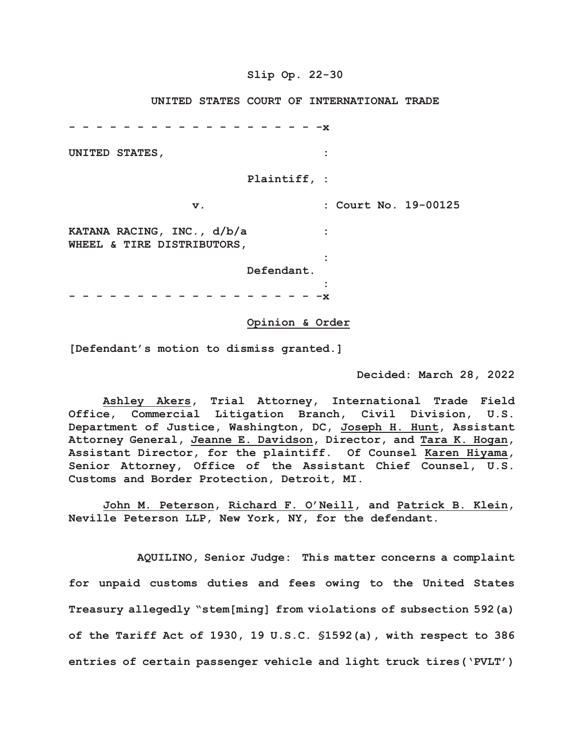### **Slip Op. 22-30**

 **UNITED STATES COURT OF INTERNATIONAL TRADE**

**- - - - - - - - - - - - - - - - - - -x UNITED STATES, : Plaintiff, : v. : Court No. 19-00125 KATANA RACING, INC., d/b/a : WHEEL & TIRE DISTRIBUTORS,** *x* :  $\mathbf{r} = \mathbf{r} \times \mathbf{r}$  ,  $\mathbf{r} = \mathbf{r} \times \mathbf{r}$  ,  $\mathbf{r} = \mathbf{r} \times \mathbf{r}$  ,  $\mathbf{r} = \mathbf{r} \times \mathbf{r}$  ,  $\mathbf{r} = \mathbf{r} \times \mathbf{r}$  ,  $\mathbf{r} = \mathbf{r} \times \mathbf{r}$  ,  $\mathbf{r} = \mathbf{r} \times \mathbf{r}$  ,  $\mathbf{r} = \mathbf{r} \times \mathbf{r}$  ,  $\mathbf{r$  **Defendant.** *x* :  $\mathbf{r} = \mathbf{r} \times \mathbf{r}$  ,  $\mathbf{r} = \mathbf{r} \times \mathbf{r}$  ,  $\mathbf{r} = \mathbf{r} \times \mathbf{r}$  ,  $\mathbf{r} = \mathbf{r} \times \mathbf{r}$  ,  $\mathbf{r} = \mathbf{r} \times \mathbf{r}$  ,  $\mathbf{r} = \mathbf{r} \times \mathbf{r}$  ,  $\mathbf{r} = \mathbf{r} \times \mathbf{r}$  ,  $\mathbf{r} = \mathbf{r} \times \mathbf{r}$  ,  $\mathbf{r$ **- - - - - - - - - - - - - - - - - - -x**

#### **Opinion & Order**

**[Defendant's motion to dismiss granted.]**

**Decided: March 28, 2022**

**Ashley Akers, Trial Attorney, International Trade Field Office, Commercial Litigation Branch, Civil Division, U.S. Department of Justice, Washington, DC, Joseph H. Hunt, Assistant Attorney General, Jeanne E. Davidson, Director, and Tara K. Hogan, Assistant Director, for the plaintiff. Of Counsel Karen Hiyama, Senior Attorney, Office of the Assistant Chief Counsel, U.S. Customs and Border Protection, Detroit, MI.**

**John M. Peterson, Richard F. O'Neill, and Patrick B. Klein, Neville Peterson LLP, New York, NY, for the defendant.**

**AQUILINO, Senior Judge: This matter concerns a complaint for unpaid customs duties and fees owing to the United States Treasury allegedly "stem[ming] from violations of subsection 592(a) of the Tariff Act of 1930, 19 U.S.C. §1592(a), with respect to 386 entries of certain passenger vehicle and light truck tires('PVLT')**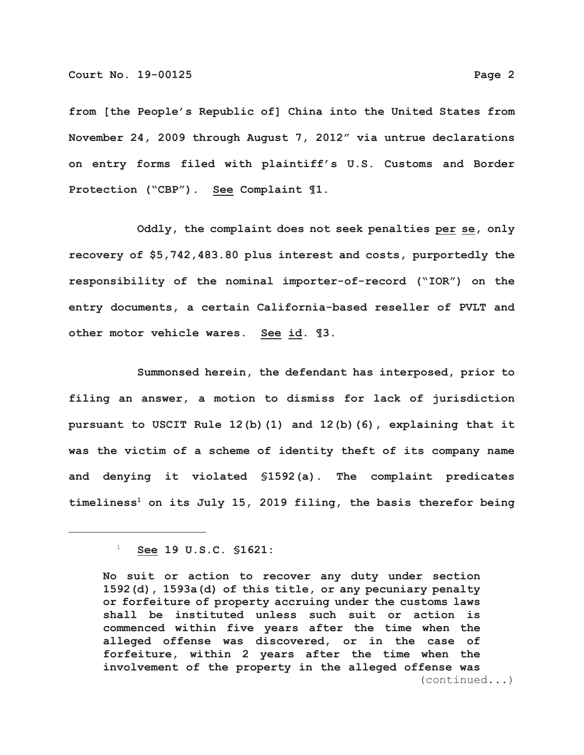**from [the People's Republic of] China into the United States from November 24, 2009 through August 7, 2012" via untrue declarations on entry forms filed with plaintiff's U.S. Customs and Border Protection ("CBP"). See Complaint ¶1.** 

**Oddly, the complaint does not seek penalties per se, only recovery of \$5,742,483.80 plus interest and costs, purportedly the responsibility of the nominal importer-of-record ("IOR") on the entry documents, a certain California-based reseller of PVLT and other motor vehicle wares. See id. ¶3.** 

**Summonsed herein, the defendant has interposed, prior to filing an answer, a motion to dismiss for lack of jurisdiction pursuant to USCIT Rule 12(b)(1) and 12(b)(6), explaining that it was the victim of a scheme of identity theft of its company name and denying it violated §1592(a). The complaint predicates** timeliness<sup>1</sup> on its July 15, 2019 filing, the basis therefor being

 <sup>1</sup> **See 19 U.S.C. §1621:**

**No suit or action to recover any duty under section 1592(d), 1593a(d) of this title, or any pecuniary penalty or forfeiture of property accruing under the customs laws shall be instituted unless such suit or action is commenced within five years after the time when the alleged offense was discovered, or in the case of forfeiture, within 2 years after the time when the involvement of the property in the alleged offense was** (continued...)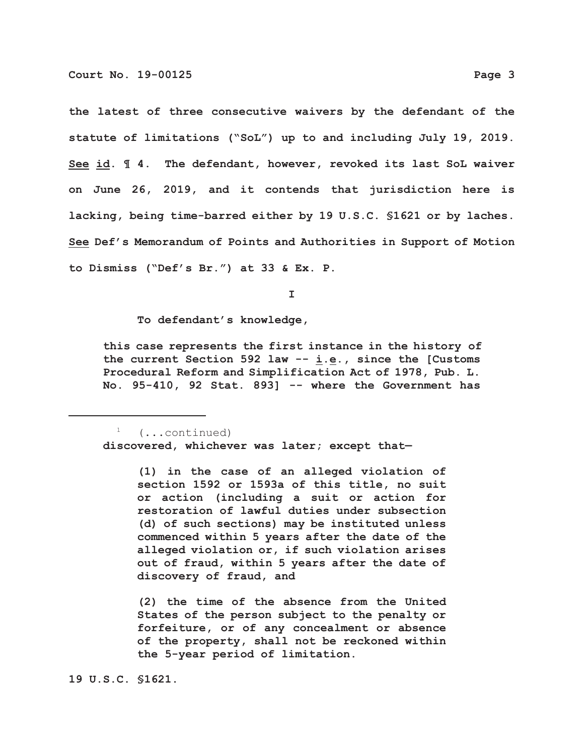**the latest of three consecutive waivers by the defendant of the statute of limitations ("SoL") up to and including July 19, 2019. See id. ¶ 4. The defendant, however, revoked its last SoL waiver on June 26, 2019, and it contends that jurisdiction here is lacking, being time-barred either by 19 U.S.C. §1621 or by laches. See Def's Memorandum of Points and Authorities in Support of Motion to Dismiss ("Def's Br.") at 33 & Ex. P.**

**I**

**To defendant's knowledge,**

 **this case represents the first instance in the history of the current Section 592 law -- i.e., since the [Customs Procedural Reform and Simplification Act of 1978, Pub. L. No. 95-410, 92 Stat. 893] -- where the Government has**

 1 (...continued) **discovered, whichever was later; except that—**

> **(1) in the case of an alleged violation of section 1592 or 1593a of this title, no suit or action (including a suit or action for restoration of lawful duties under subsection (d) of such sections) may be instituted unless commenced within 5 years after the date of the alleged violation or, if such violation arises out of fraud, within 5 years after the date of discovery of fraud, and**

> **(2) the time of the absence from the United States of the person subject to the penalty or forfeiture, or of any concealment or absence of the property, shall not be reckoned within the 5-year period of limitation.**

**19 U.S.C. §1621**.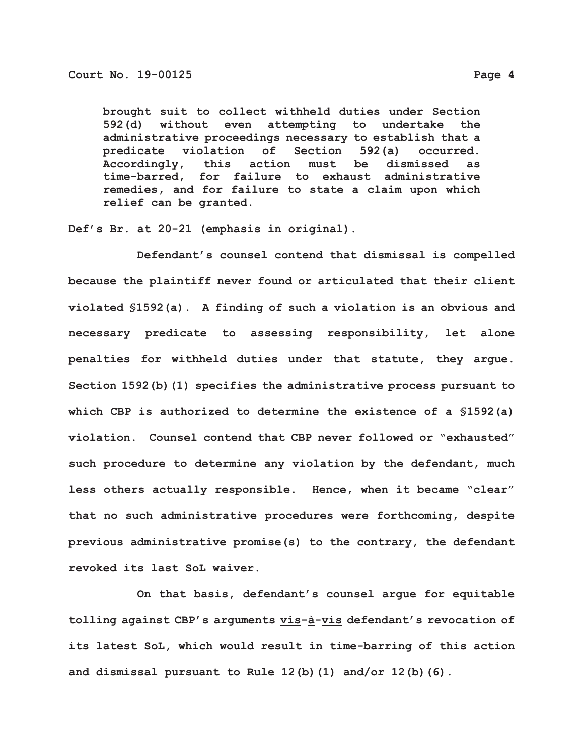**brought suit to collect withheld duties under Section 592(d) without even attempting to undertake the administrative proceedings necessary to establish that a predicate violation of Section 592(a) occurred. Accordingly, this action must be dismissed as time-barred, for failure to exhaust administrative remedies, and for failure to state a claim upon which relief can be granted.**

**Def's Br. at 20-21 (emphasis in original).**

**Defendant's counsel contend that dismissal is compelled because the plaintiff never found or articulated that their client violated §1592(a). A finding of such a violation is an obvious and necessary predicate to assessing responsibility, let alone penalties for withheld duties under that statute, they argue. Section 1592(b)(1) specifies the administrative process pursuant to which CBP is authorized to determine the existence of a §1592(a) violation. Counsel contend that CBP never followed or "exhausted" such procedure to determine any violation by the defendant, much less others actually responsible. Hence, when it became "clear" that no such administrative procedures were forthcoming, despite previous administrative promise(s) to the contrary, the defendant revoked its last SoL waiver.**

**On that basis, defendant's counsel argue for equitable tolling against CBP's arguments vis-à-vis defendant's revocation of its latest SoL, which would result in time-barring of this action and dismissal pursuant to Rule 12(b)(1) and/or 12(b)(6).**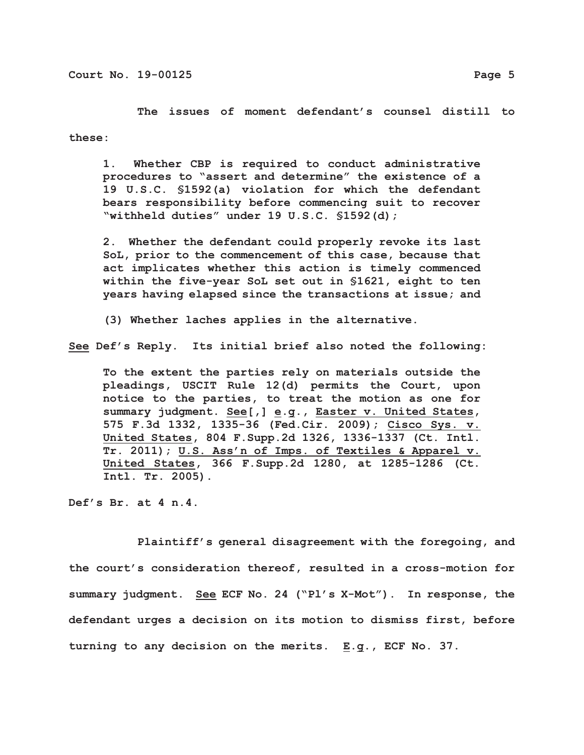**The issues of moment defendant's counsel distill to these:**

**1. Whether CBP is required to conduct administrative procedures to "assert and determine" the existence of a 19 U.S.C. §1592(a) violation for which the defendant bears responsibility before commencing suit to recover "withheld duties" under 19 U.S.C. §1592(d);**

**2. Whether the defendant could properly revoke its last SoL, prior to the commencement of this case, because that act implicates whether this action is timely commenced within the five-year SoL set out in §1621, eight to ten years having elapsed since the transactions at issue; and**

**(3) Whether laches applies in the alternative.**

**See Def's Reply. Its initial brief also noted the following:**

**To the extent the parties rely on materials outside the pleadings, USCIT Rule 12(d) permits the Court, upon notice to the parties, to treat the motion as one for summary judgment. See[,] e.g., Easter v. United States, 575 F.3d 1332, 1335-36 (Fed.Cir. 2009); Cisco Sys. v. United States, 804 F.Supp.2d 1326, 1336-1337 (Ct. Intl. Tr. 2011); U.S. Ass'n of Imps. of Textiles & Apparel v. United States, 366 F.Supp.2d 1280, at 1285-1286 (Ct. Intl. Tr. 2005).**

**Def's Br. at 4 n.4.**

**Plaintiff's general disagreement with the foregoing, and the court's consideration thereof, resulted in a cross-motion for summary judgment. See ECF No. 24 ("Pl's X-Mot"). In response, the defendant urges a decision on its motion to dismiss first, before turning to any decision on the merits. E.g., ECF No. 37.**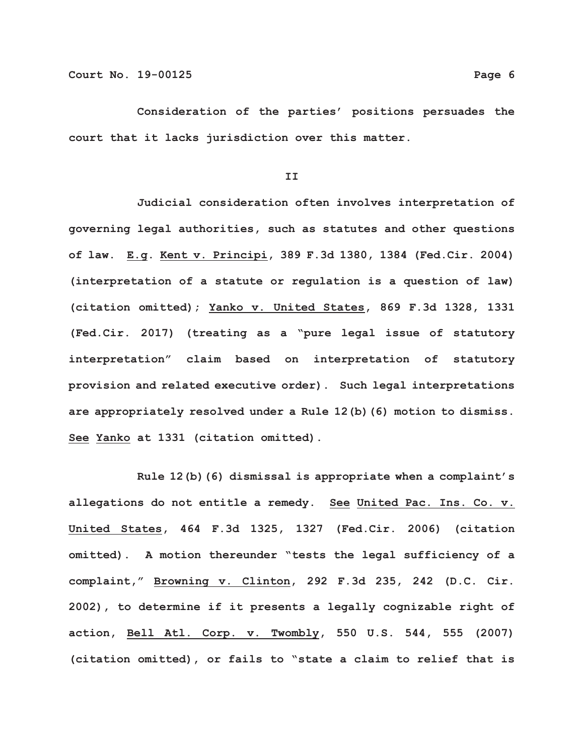**Consideration of the parties' positions persuades the court that it lacks jurisdiction over this matter.**

**II**

**Judicial consideration often involves interpretation of governing legal authorities, such as statutes and other questions of law. E.g. Kent v. Principi, 389 F.3d 1380, 1384 (Fed.Cir. 2004) (interpretation of a statute or regulation is a question of law) (citation omitted); Yanko v. United States, 869 F.3d 1328, 1331 (Fed.Cir. 2017) (treating as a "pure legal issue of statutory interpretation" claim based on interpretation of statutory provision and related executive order). Such legal interpretations are appropriately resolved under a Rule 12(b)(6) motion to dismiss. See Yanko at 1331 (citation omitted).**

**Rule 12(b)(6) dismissal is appropriate when a complaint's allegations do not entitle a remedy. See United Pac. Ins. Co. v. United States, 464 F.3d 1325, 1327 (Fed.Cir. 2006) (citation omitted). A motion thereunder "tests the legal sufficiency of a complaint," Browning v. Clinton, 292 F.3d 235, 242 (D.C. Cir. 2002), to determine if it presents a legally cognizable right of action, Bell Atl. Corp. v. Twombly, 550 U.S. 544, 555 (2007) (citation omitted), or fails to "state a claim to relief that is**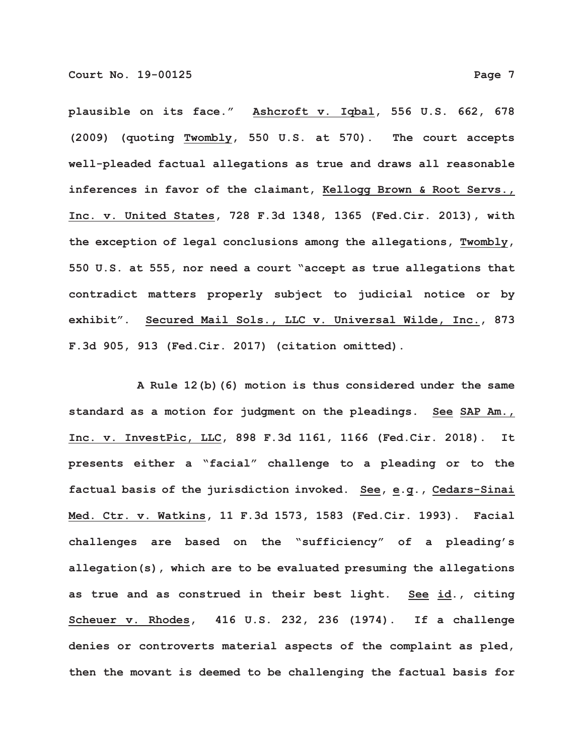**plausible on its face." Ashcroft v. Iqbal, 556 U.S. 662, 678 (2009) (quoting Twombly, 550 U.S. at 570). The court accepts well-pleaded factual allegations as true and draws all reasonable inferences in favor of the claimant, Kellogg Brown & Root Servs., Inc. v. United States, 728 F.3d 1348, 1365 (Fed.Cir. 2013), with the exception of legal conclusions among the allegations, Twombly, 550 U.S. at 555, nor need a court "accept as true allegations that contradict matters properly subject to judicial notice or by exhibit". Secured Mail Sols., LLC v. Universal Wilde, Inc., 873 F.3d 905, 913 (Fed.Cir. 2017) (citation omitted).**

**A Rule 12(b)(6) motion is thus considered under the same standard as a motion for judgment on the pleadings. See SAP Am., Inc. v. InvestPic, LLC, 898 F.3d 1161, 1166 (Fed.Cir. 2018). It presents either a "facial" challenge to a pleading or to the factual basis of the jurisdiction invoked. See, e.g., Cedars-Sinai Med. Ctr. v. Watkins, 11 F.3d 1573, 1583 (Fed.Cir. 1993). Facial challenges are based on the "sufficiency" of a pleading's allegation(s), which are to be evaluated presuming the allegations as true and as construed in their best light. See id., citing Scheuer v. Rhodes, 416 U.S. 232, 236 (1974). If a challenge denies or controverts material aspects of the complaint as pled, then the movant is deemed to be challenging the factual basis for**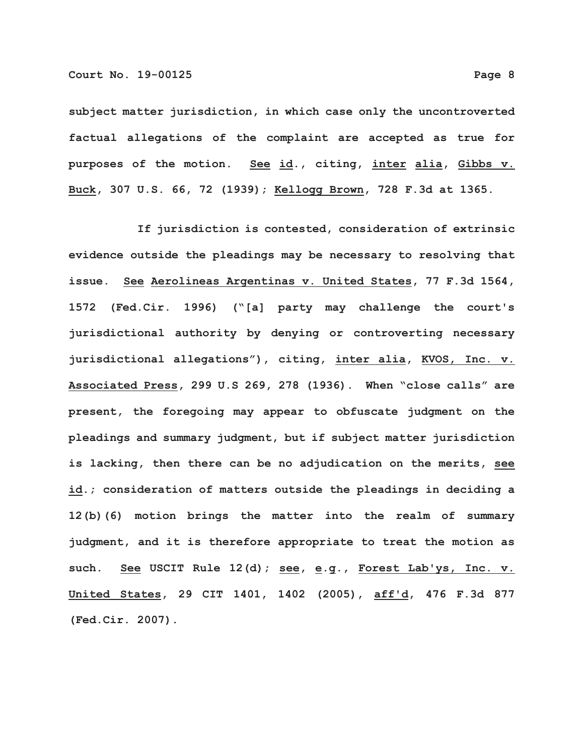**subject matter jurisdiction, in which case only the uncontroverted factual allegations of the complaint are accepted as true for purposes of the motion. See id., citing, inter alia, Gibbs v. Buck, 307 U.S. 66, 72 (1939); Kellogg Brown, 728 F.3d at 1365.**

**If jurisdiction is contested, consideration of extrinsic evidence outside the pleadings may be necessary to resolving that issue. See Aerolineas Argentinas v. United States, 77 F.3d 1564, 1572 (Fed.Cir. 1996) ("[a] party may challenge the court's jurisdictional authority by denying or controverting necessary jurisdictional allegations"), citing, inter alia, KVOS, Inc. v. Associated Press, 299 U.S 269, 278 (1936). When "close calls" are present, the foregoing may appear to obfuscate judgment on the pleadings and summary judgment, but if subject matter jurisdiction is lacking, then there can be no adjudication on the merits, see id.; consideration of matters outside the pleadings in deciding a 12(b)(6) motion brings the matter into the realm of summary judgment, and it is therefore appropriate to treat the motion as such. See USCIT Rule 12(d); see, e.g., Forest Lab'ys, Inc. v. United States, 29 CIT 1401, 1402 (2005), aff'd, 476 F.3d 877 (Fed.Cir. 2007).**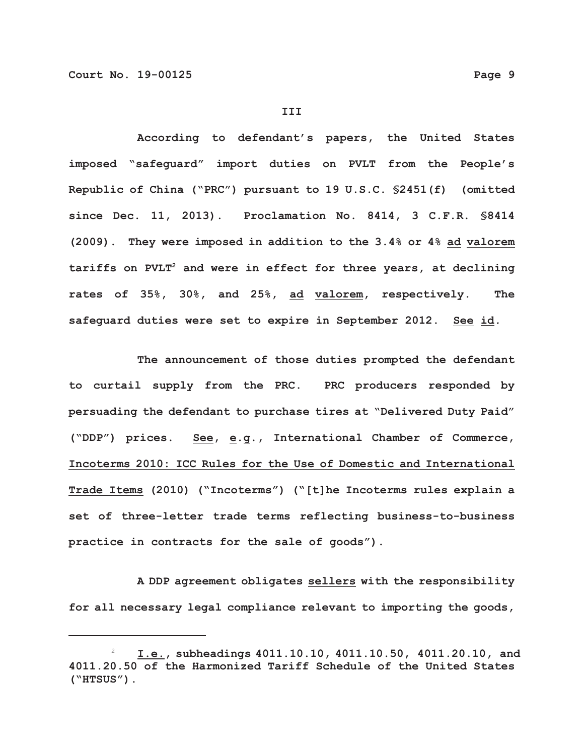#### **III**

**According to defendant's papers, the United States imposed "safeguard" import duties on PVLT from the People's Republic of China ("PRC") pursuant to 19 U.S.C. §2451(f) (omitted since Dec. 11, 2013). Proclamation No. 8414, 3 C.F.R. §8414 (2009). They were imposed in addition to the 3.4% or 4% ad valorem tariffs on PVLT2 and were in effect for three years, at declining rates of 35%, 30%, and 25%, ad valorem, respectively. The safeguard duties were set to expire in September 2012. See id***.*

**The announcement of those duties prompted the defendant to curtail supply from the PRC. PRC producers responded by persuading the defendant to purchase tires at "Delivered Duty Paid" ("DDP") prices. See, e.g., International Chamber of Commerce, Incoterms 2010: ICC Rules for the Use of Domestic and International Trade Items (2010) ("Incoterms") ("[t]he Incoterms rules explain a set of three-letter trade terms reflecting business-to-business practice in contracts for the sale of goods").**

**A DDP agreement obligates sellers with the responsibility for all necessary legal compliance relevant to importing the goods,**

 <sup>2</sup> **I.e., subheadings 4011.10.10, 4011.10.50, 4011.20.10, and 4011.20.50 of the Harmonized Tariff Schedule of the United States ("HTSUS")**.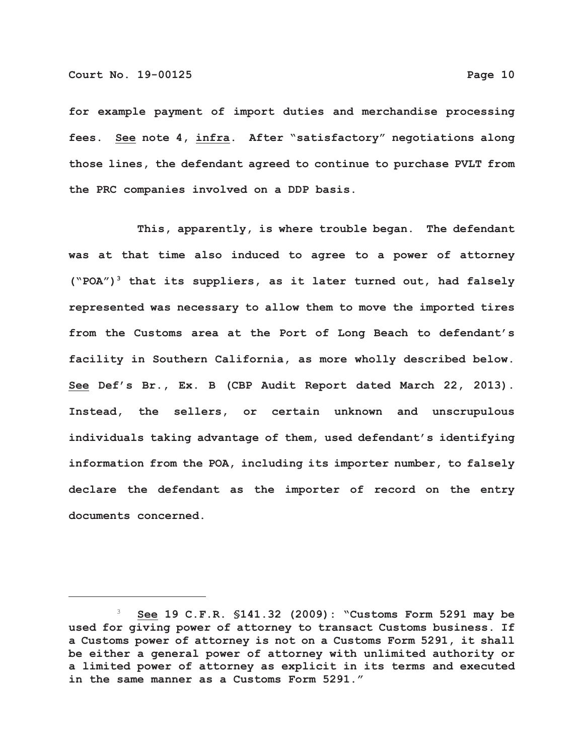**for example payment of import duties and merchandise processing fees. See note 4, infra. After "satisfactory" negotiations along those lines, the defendant agreed to continue to purchase PVLT from the PRC companies involved on a DDP basis.**

**This, apparently, is where trouble began. The defendant was at that time also induced to agree to a power of attorney ("POA")3 that its suppliers, as it later turned out, had falsely represented was necessary to allow them to move the imported tires from the Customs area at the Port of Long Beach to defendant's facility in Southern California, as more wholly described below. See Def's Br., Ex. B (CBP Audit Report dated March 22, 2013). Instead, the sellers, or certain unknown and unscrupulous individuals taking advantage of them, used defendant's identifying information from the POA, including its importer number, to falsely declare the defendant as the importer of record on the entry documents concerned.** 

 <sup>3</sup> **See 19 C.F.R. §141.32 (2009): "Customs Form 5291 may be used for giving power of attorney to transact Customs business. If a Customs power of attorney is not on a Customs Form 5291, it shall be either a general power of attorney with unlimited authority or a limited power of attorney as explicit in its terms and executed in the same manner as a Customs Form 5291."**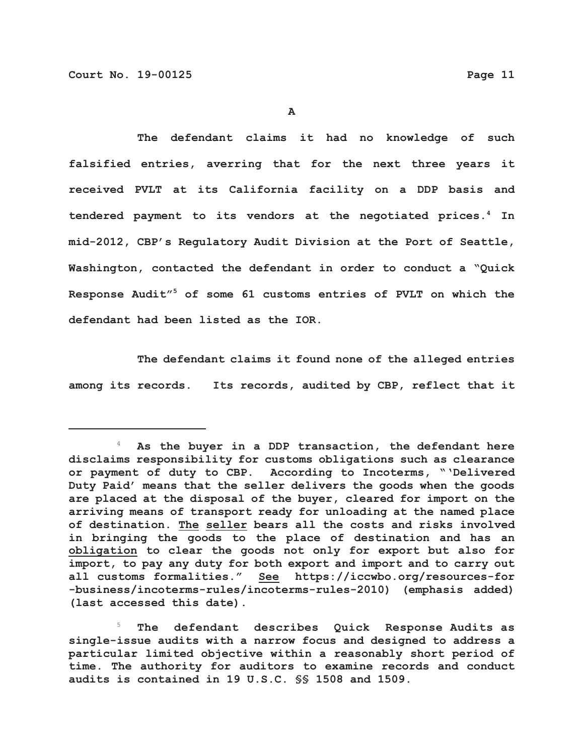**The defendant claims it had no knowledge of such falsified entries, averring that for the next three years it received PVLT at its California facility on a DDP basis and tendered payment to its vendors at the negotiated prices.4 In mid-2012, CBP's Regulatory Audit Division at the Port of Seattle, Washington, contacted the defendant in order to conduct a "Quick Response Audit"5 of some 61 customs entries of PVLT on which the defendant had been listed as the IOR.**

**The defendant claims it found none of the alleged entries among its records. Its records, audited by CBP, reflect that it**

 5 **The defendant describes Quick Response Audits as single-issue audits with a narrow focus and designed to address a particular limited objective within a reasonably short period of time. The authority for auditors to examine records and conduct audits is contained in 19 U.S.C. §§ 1508 and 1509.**

 <sup>4</sup> **As the buyer in a DDP transaction, the defendant here disclaims responsibility for customs obligations such as clearance or payment of duty to CBP**. **According to Incoterms, "'Delivered Duty Paid' means that the seller delivers the goods when the goods are placed at the disposal of the buyer, cleared for import on the arriving means of transport ready for unloading at the named place of destination. The seller bears all the costs and risks involved in bringing the goods to the place of destination and has an obligation to clear the goods not only for export but also for import, to pay any duty for both export and import and to carry out all customs formalities." See https://iccwbo.org/resources-for -business/incoterms-rules/incoterms-rules-2010) (emphasis added) (last accessed this date).**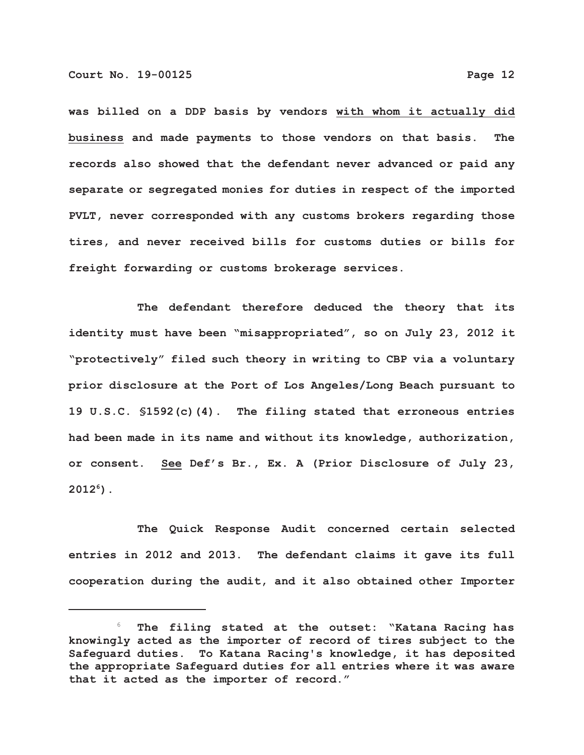**was billed on a DDP basis by vendors with whom it actually did business and made payments to those vendors on that basis. The records also showed that the defendant never advanced or paid any separate or segregated monies for duties in respect of the imported PVLT, never corresponded with any customs brokers regarding those tires, and never received bills for customs duties or bills for freight forwarding or customs brokerage services.**

**The defendant therefore deduced the theory that its identity must have been "misappropriated", so on July 23, 2012 it "protectively" filed such theory in writing to CBP via a voluntary prior disclosure at the Port of Los Angeles/Long Beach pursuant to 19 U.S.C. §1592(c)(4). The filing stated that erroneous entries had been made in its name and without its knowledge, authorization, or consent. See Def's Br., Ex. A (Prior Disclosure of July 23, 20126 ).**

**The Quick Response Audit concerned certain selected entries in 2012 and 2013. The defendant claims it gave its full cooperation during the audit, and it also obtained other Importer**

 <sup>6</sup> **The filing stated at the outset: "Katana Racing has knowingly acted as the importer of record of tires subject to the Safeguard duties. To Katana Racing's knowledge, it has deposited the appropriate Safeguard duties for all entries where it was aware that it acted as the importer of record."**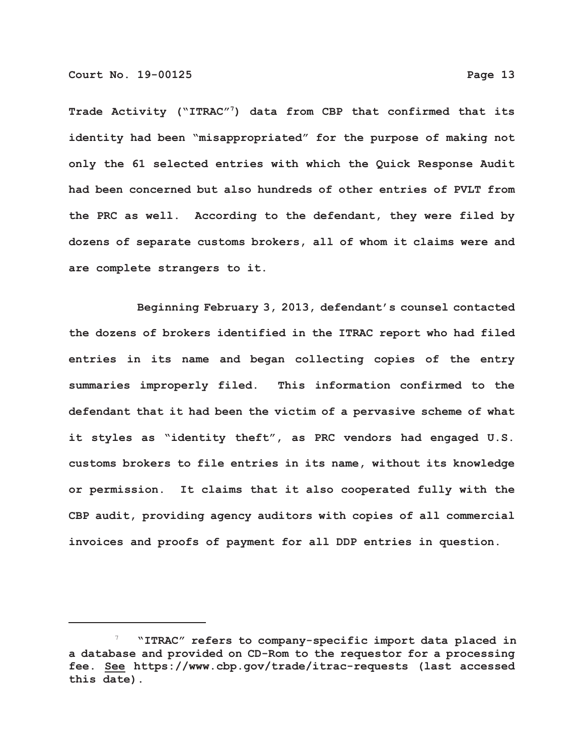**Trade Activity ("ITRAC"7) data from CBP that confirmed that its identity had been "misappropriated" for the purpose of making not only the 61 selected entries with which the Quick Response Audit had been concerned but also hundreds of other entries of PVLT from the PRC as well. According to the defendant, they were filed by dozens of separate customs brokers, all of whom it claims were and are complete strangers to it.**

**Beginning February 3, 2013, defendant's counsel contacted the dozens of brokers identified in the ITRAC report who had filed entries in its name and began collecting copies of the entry summaries improperly filed. This information confirmed to the defendant that it had been the victim of a pervasive scheme of what it styles as "identity theft", as PRC vendors had engaged U.S. customs brokers to file entries in its name, without its knowledge or permission. It claims that it also cooperated fully with the CBP audit, providing agency auditors with copies of all commercial invoices and proofs of payment for all DDP entries in question.**

 <sup>7</sup> **"ITRAC" refers to company-specific import data placed in a database and provided on CD-Rom to the requestor for a processing fee. See https://www.cbp.gov/trade/itrac-requests (last accessed this date).**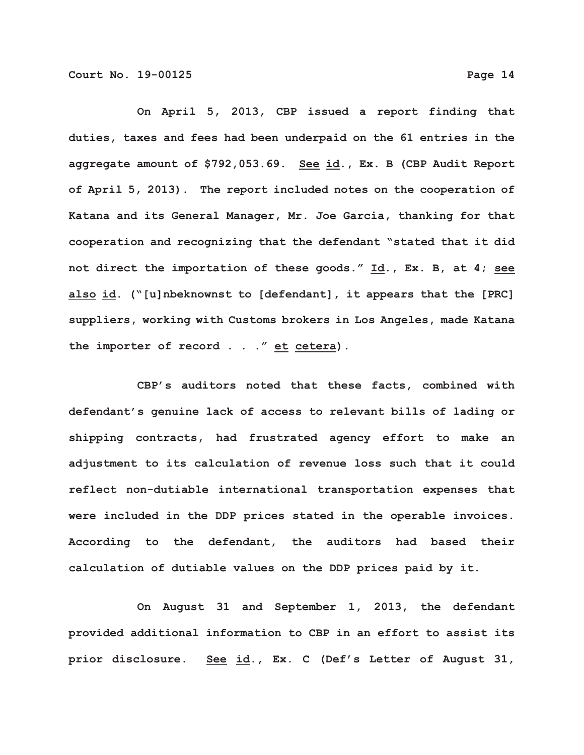**On April 5, 2013, CBP issued a report finding that duties, taxes and fees had been underpaid on the 61 entries in the aggregate amount of \$792,053.69. See id., Ex. B (CBP Audit Report of April 5, 2013). The report included notes on the cooperation of Katana and its General Manager, Mr. Joe Garcia, thanking for that cooperation and recognizing that the defendant "stated that it did not direct the importation of these goods." Id., Ex. B, at 4; see also id. ("[u]nbeknownst to [defendant], it appears that the [PRC] suppliers, working with Customs brokers in Los Angeles, made Katana the importer of record . . ." et cetera).**

**CBP's auditors noted that these facts, combined with defendant's genuine lack of access to relevant bills of lading or shipping contracts, had frustrated agency effort to make an adjustment to its calculation of revenue loss such that it could reflect non-dutiable international transportation expenses that were included in the DDP prices stated in the operable invoices. According to the defendant, the auditors had based their calculation of dutiable values on the DDP prices paid by it.**

**On August 31 and September 1, 2013, the defendant provided additional information to CBP in an effort to assist its prior disclosure. See id., Ex. C (Def's Letter of August 31,**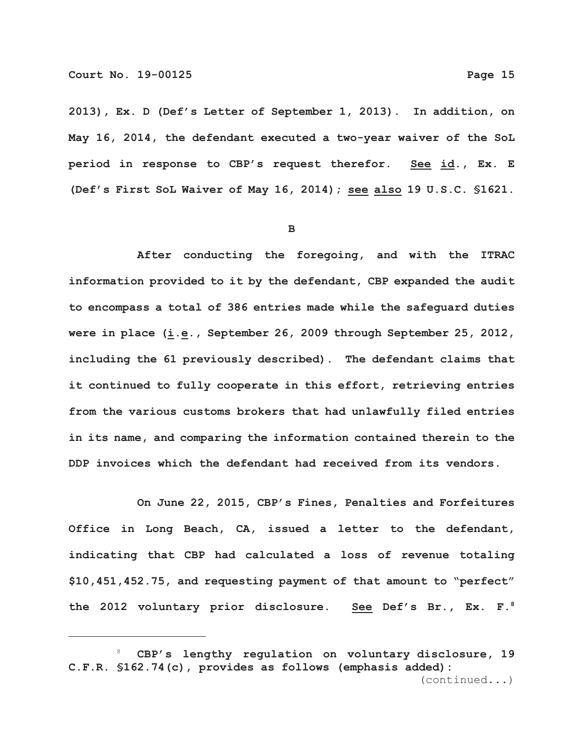**2013), Ex. D (Def's Letter of September 1, 2013). In addition, on May 16, 2014, the defendant executed a two-year waiver of the SoL period in response to CBP's request therefor. See id., Ex. E (Def's First SoL Waiver of May 16, 2014); see also 19 U.S.C. §1621.**

**B**

**After conducting the foregoing, and with the ITRAC information provided to it by the defendant, CBP expanded the audit to encompass a total of 386 entries made while the safeguard duties were in place (i.e., September 26, 2009 through September 25, 2012, including the 61 previously described). The defendant claims that it continued to fully cooperate in this effort, retrieving entries from the various customs brokers that had unlawfully filed entries in its name, and comparing the information contained therein to the DDP invoices which the defendant had received from its vendors.**

**On June 22, 2015, CBP's Fines, Penalties and Forfeitures Office in Long Beach, CA, issued a letter to the defendant, indicating that CBP had calculated a loss of revenue totaling \$10,451,452.75, and requesting payment of that amount to "perfect" the 2012 voluntary prior disclosure. See Def's Br., Ex. F.8**

 <sup>8</sup> **CBP's lengthy regulation on voluntary disclosure, 19 C.F.R. §162.74(c), provides as follows (emphasis added):** (continued...)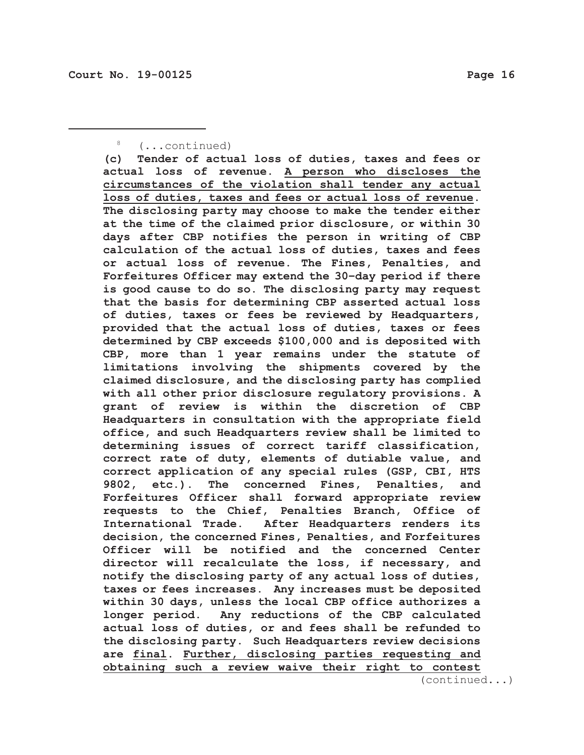# 8 (...continued)

**(c) Tender of actual loss of duties, taxes and fees or actual loss of revenue. A person who discloses the circumstances of the violation shall tender any actual loss of duties, taxes and fees or actual loss of revenue. The disclosing party may choose to make the tender either at the time of the claimed prior disclosure, or within 30 days after CBP notifies the person in writing of CBP calculation of the actual loss of duties, taxes and fees or actual loss of revenue. The Fines, Penalties, and Forfeitures Officer may extend the 30–day period if there is good cause to do so. The disclosing party may request that the basis for determining CBP asserted actual loss of duties, taxes or fees be reviewed by Headquarters, provided that the actual loss of duties, taxes or fees determined by CBP exceeds \$100,000 and is deposited with CBP, more than 1 year remains under the statute of limitations involving the shipments covered by the claimed disclosure, and the disclosing party has complied with all other prior disclosure regulatory provisions. A grant of review is within the discretion of CBP Headquarters in consultation with the appropriate field office, and such Headquarters review shall be limited to determining issues of correct tariff classification, correct rate of duty, elements of dutiable value, and correct application of any special rules (GSP, CBI, HTS 9802, etc.). The concerned Fines, Penalties, and Forfeitures Officer shall forward appropriate review requests to the Chief, Penalties Branch, Office of International Trade. After Headquarters renders its decision, the concerned Fines, Penalties, and Forfeitures Officer will be notified and the concerned Center director will recalculate the loss, if necessary, and notify the disclosing party of any actual loss of duties, taxes or fees increases. Any increases must be deposited within 30 days, unless the local CBP office authorizes a longer period. Any reductions of the CBP calculated actual loss of duties, or and fees shall be refunded to the disclosing party. Such Headquarters review decisions are final. Further, disclosing parties requesting and obtaining such a review waive their right to contest**

(continued...)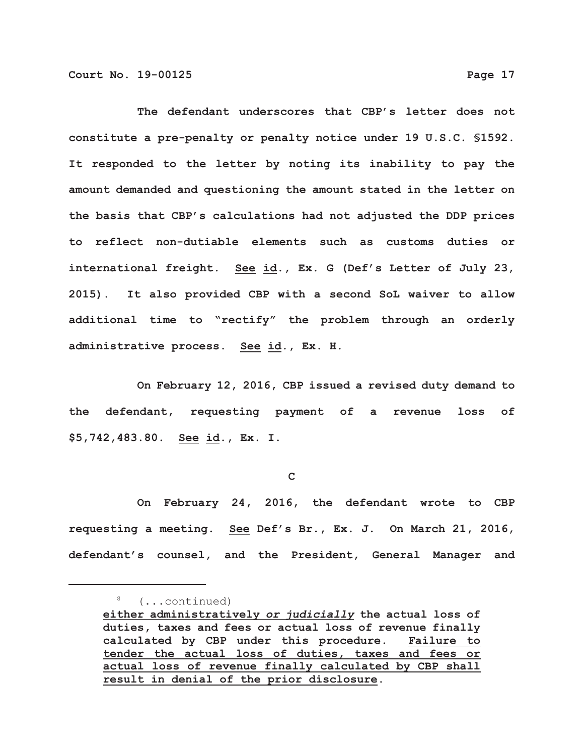**The defendant underscores that CBP's letter does not constitute a pre-penalty or penalty notice under 19 U.S.C. §1592. It responded to the letter by noting its inability to pay the amount demanded and questioning the amount stated in the letter on the basis that CBP's calculations had not adjusted the DDP prices to reflect non-dutiable elements such as customs duties or international freight. See id., Ex. G (Def's Letter of July 23,**

**2015). It also provided CBP with a second SoL waiver to allow additional time to "rectify" the problem through an orderly administrative process. See id., Ex. H.**

**On February 12, 2016, CBP issued a revised duty demand to the defendant, requesting payment of a revenue loss of \$5,742,483.80. See id., Ex. I.**

**C**

**On February 24, 2016, the defendant wrote to CBP requesting a meeting. See Def's Br., Ex. J. On March 21, 2016, defendant's counsel, and the President, General Manager and**

<sup>8</sup> (...continued)

**either administratively** *or judicially* **the actual loss of duties, taxes and fees or actual loss of revenue finally calculated by CBP under this procedure. Failure to tender the actual loss of duties, taxes and fees or actual loss of revenue finally calculated by CBP shall result in denial of the prior disclosure.**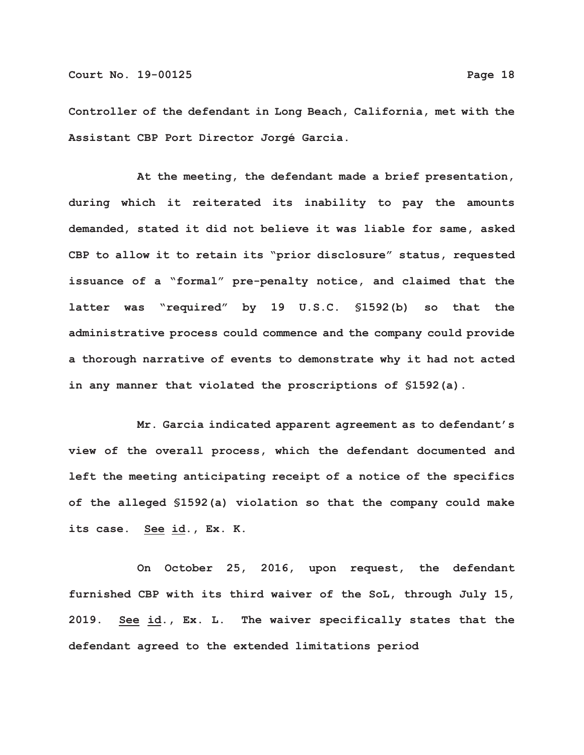**Controller of the defendant in Long Beach, California, met with the Assistant CBP Port Director Jorgé Garcia.**

**At the meeting, the defendant made a brief presentation, during which it reiterated its inability to pay the amounts demanded, stated it did not believe it was liable for same, asked CBP to allow it to retain its "prior disclosure" status, requested issuance of a "formal" pre-penalty notice, and claimed that the latter was "required" by 19 U.S.C. §1592(b) so that the administrative process could commence and the company could provide a thorough narrative of events to demonstrate why it had not acted in any manner that violated the proscriptions of §1592(a).**

**Mr. Garcia indicated apparent agreement as to defendant's view of the overall process, which the defendant documented and left the meeting anticipating receipt of a notice of the specifics of the alleged §1592(a) violation so that the company could make its case. See id., Ex. K.** 

**On October 25, 2016, upon request, the defendant furnished CBP with its third waiver of the SoL, through July 15, 2019. See id., Ex. L. The waiver specifically states that the defendant agreed to the extended limitations period**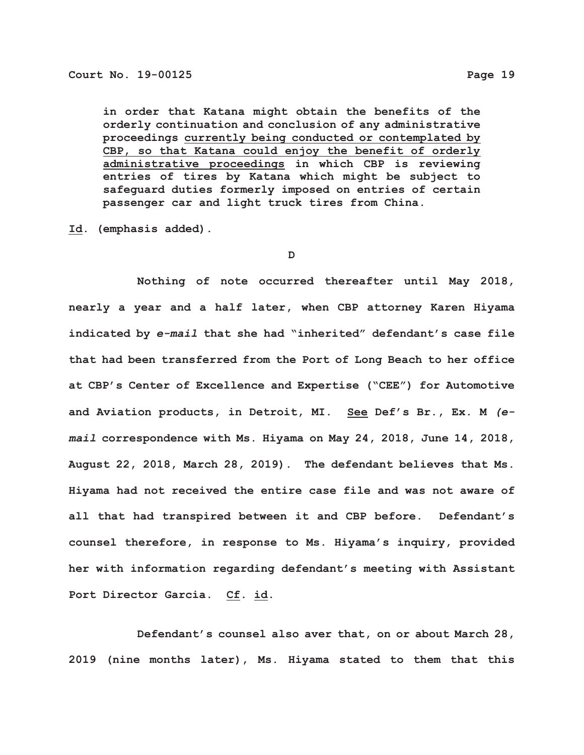**in order that Katana might obtain the benefits of the orderly continuation and conclusion of any administrative proceedings currently being conducted or contemplated by CBP, so that Katana could enjoy the benefit of orderly administrative proceedings in which CBP is reviewing entries of tires by Katana which might be subject to safeguard duties formerly imposed on entries of certain passenger car and light truck tires from China.**

**Id. (emphasis added).**

**D**

**Nothing of note occurred thereafter until May 2018, nearly a year and a half later, when CBP attorney Karen Hiyama indicated by** *e-mail* **that she had "inherited" defendant's case file that had been transferred from the Port of Long Beach to her office at CBP's Center of Excellence and Expertise ("CEE") for Automotive and Aviation products, in Detroit, MI. See Def's Br., Ex. M** *(email* **correspondence with Ms. Hiyama on May 24, 2018, June 14, 2018, August 22, 2018, March 28, 2019). The defendant believes that Ms. Hiyama had not received the entire case file and was not aware of all that had transpired between it and CBP before. Defendant's counsel therefore, in response to Ms. Hiyama's inquiry, provided her with information regarding defendant's meeting with Assistant Port Director Garcia. Cf. id.**

**Defendant's counsel also aver that, on or about March 28, 2019 (nine months later), Ms. Hiyama stated to them that this**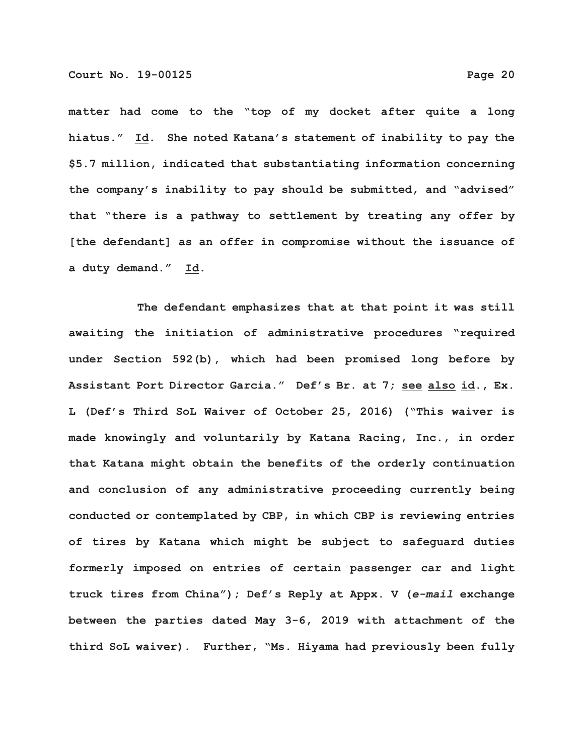**matter had come to the "top of my docket after quite a long hiatus." Id. She noted Katana's statement of inability to pay the \$5.7 million, indicated that substantiating information concerning the company's inability to pay should be submitted, and "advised" that "there is a pathway to settlement by treating any offer by [the defendant] as an offer in compromise without the issuance of a duty demand." Id.**

**The defendant emphasizes that at that point it was still awaiting the initiation of administrative procedures "required under Section 592(b), which had been promised long before by Assistant Port Director Garcia." Def's Br. at 7; see also id., Ex. L (Def's Third SoL Waiver of October 25, 2016) ("This waiver is made knowingly and voluntarily by Katana Racing, Inc., in order that Katana might obtain the benefits of the orderly continuation and conclusion of any administrative proceeding currently being conducted or contemplated by CBP, in which CBP is reviewing entries of tires by Katana which might be subject to safeguard duties formerly imposed on entries of certain passenger car and light truck tires from China"); Def's Reply at Appx. V (***e-mail* **exchange between the parties dated May 3-6, 2019 with attachment of the third SoL waiver). Further, "Ms. Hiyama had previously been fully**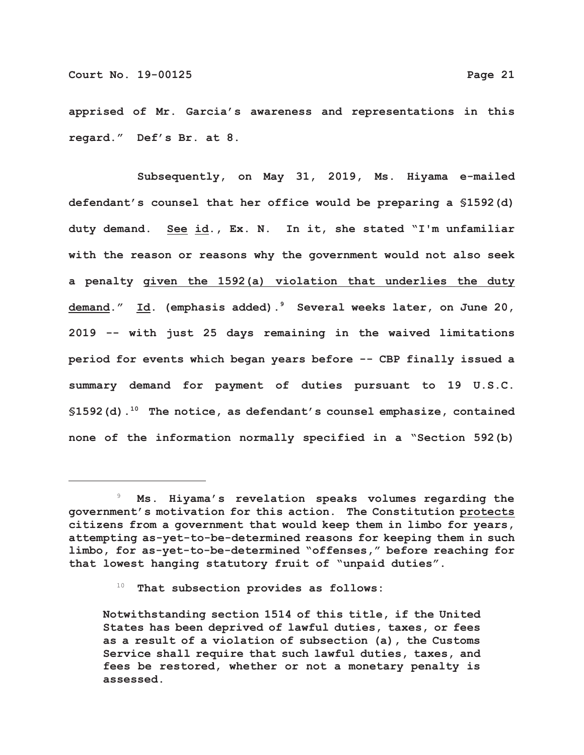**apprised of Mr. Garcia's awareness and representations in this regard." Def's Br. at 8.**

**Subsequently, on May 31, 2019, Ms. Hiyama e-mailed defendant's counsel that her office would be preparing a §1592(d) duty demand. See id., Ex. N. In it, she stated "I'm unfamiliar with the reason or reasons why the government would not also seek a penalty given the 1592(a) violation that underlies the duty demand." Id. (emphasis added).9 Several weeks later, on June 20, 2019 -- with just 25 days remaining in the waived limitations period for events which began years before -- CBP finally issued a summary demand for payment of duties pursuant to 19 U.S.C. §1592(d).10 The notice, as defendant's counsel emphasize, contained none of the information normally specified in a "Section 592(b)**

 <sup>9</sup> **Ms. Hiyama's revelation speaks volumes regarding the government's motivation for this action. The Constitution protects citizens from a government that would keep them in limbo for years, attempting as-yet-to-be-determined reasons for keeping them in such limbo, for as-yet-to-be-determined "offenses," before reaching for that lowest hanging statutory fruit of "unpaid duties".**

 <sup>10</sup> **That subsection provides as follows:**

**Notwithstanding section 1514 of this title, if the United States has been deprived of lawful duties, taxes, or fees as a result of a violation of subsection (a), the Customs Service shall require that such lawful duties, taxes, and fees be restored, whether or not a monetary penalty is assessed.**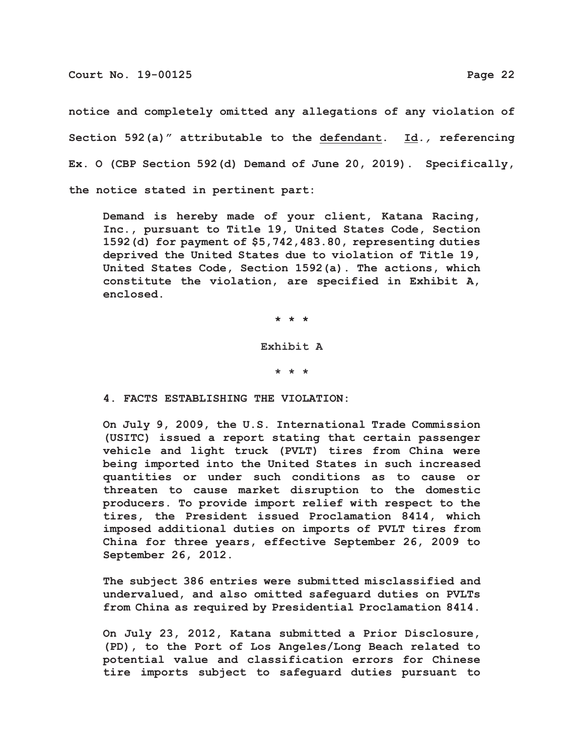**notice and completely omitted any allegations of any violation of Section 592(a)" attributable to the defendant. Id***.,* **referencing Ex. O (CBP Section 592(d) Demand of June 20, 2019). Specifically, the notice stated in pertinent part:**

**Demand is hereby made of your client, Katana Racing, Inc., pursuant to Title 19, United States Code, Section 1592(d) for payment of \$5,742,483.80, representing duties deprived the United States due to violation of Title 19, United States Code, Section 1592(a). The actions, which constitute the violation, are specified in Exhibit A, enclosed.**

**\* \* \***

**Exhibit A**

**\* \* \***

**4. FACTS ESTABLISHING THE VIOLATION:**

**On July 9, 2009, the U.S. International Trade Commission (USITC) issued a report stating that certain passenger vehicle and light truck (PVLT) tires from China were being imported into the United States in such increased quantities or under such conditions as to cause or threaten to cause market disruption to the domestic producers. To provide import relief with respect to the tires, the President issued Proclamation 8414, which imposed additional duties on imports of PVLT tires from China for three years, effective September 26, 2009 to September 26, 2012.**

**The subject 386 entries were submitted misclassified and undervalued, and also omitted safeguard duties on PVLTs from China as required by Presidential Proclamation 8414.**

**On July 23, 2012, Katana submitted a Prior Disclosure, (PD), to the Port of Los Angeles/Long Beach related to potential value and classification errors for Chinese tire imports subject to safeguard duties pursuant to**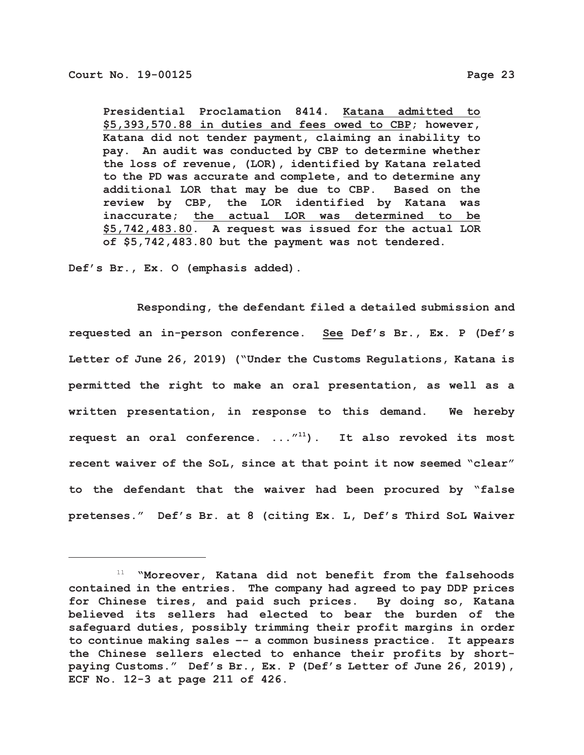**Presidential Proclamation 8414. Katana admitted to \$5,393,570.88 in duties and fees owed to CBP; however, Katana did not tender payment, claiming an inability to pay. An audit was conducted by CBP to determine whether the loss of revenue, (LOR), identified by Katana related to the PD was accurate and complete, and to determine any additional LOR that may be due to CBP. Based on the review by CBP, the LOR identified by Katana was inaccurate; the actual LOR was determined to be \$5,742,483.80. A request was issued for the actual LOR of \$5,742,483.80 but the payment was not tendered.**

**Def's Br., Ex. O (emphasis added).**

**Responding, the defendant filed a detailed submission and requested an in-person conference. See Def's Br., Ex. P (Def's Letter of June 26, 2019) ("Under the Customs Regulations, Katana is permitted the right to make an oral presentation, as well as a written presentation, in response to this demand. We hereby request an oral conference. ..."11). It also revoked its most recent waiver of the SoL, since at that point it now seemed "clear" to the defendant that the waiver had been procured by "false pretenses." Def's Br. at 8 (citing Ex. L, Def's Third SoL Waiver**

 <sup>11</sup> **"Moreover, Katana did not benefit from the falsehoods contained in the entries. The company had agreed to pay DDP prices for Chinese tires, and paid such prices. By doing so, Katana believed its sellers had elected to bear the burden of the safeguard duties, possibly trimming their profit margins in order to continue making sales –- a common business practice. It appears the Chinese sellers elected to enhance their profits by shortpaying Customs." Def's Br., Ex. P (Def's Letter of June 26, 2019), ECF No. 12-3 at page 211 of 426.**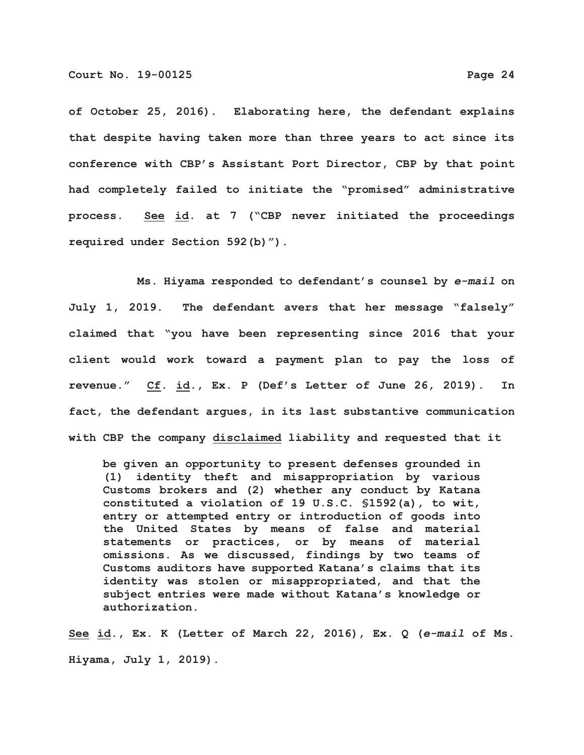**of October 25, 2016). Elaborating here, the defendant explains that despite having taken more than three years to act since its conference with CBP's Assistant Port Director, CBP by that point had completely failed to initiate the "promised" administrative process. See id. at 7 ("CBP never initiated the proceedings required under Section 592(b)").**

**Ms. Hiyama responded to defendant's counsel by** *e-mail* **on July 1, 2019. The defendant avers that her message "falsely" claimed that "you have been representing since 2016 that your client would work toward a payment plan to pay the loss of revenue." Cf. id., Ex. P (Def's Letter of June 26, 2019). In fact, the defendant argues, in its last substantive communication with CBP the company disclaimed liability and requested that it**

**be given an opportunity to present defenses grounded in (1) identity theft and misappropriation by various Customs brokers and (2) whether any conduct by Katana constituted a violation of 19 U.S.C. §1592(a), to wit, entry or attempted entry or introduction of goods into the United States by means of false and material statements or practices, or by means of material omissions. As we discussed, findings by two teams of Customs auditors have supported Katana's claims that its identity was stolen or misappropriated, and that the subject entries were made without Katana's knowledge or authorization.**

**See id., Ex. K (Letter of March 22, 2016), Ex. Q (***e-mail* **of Ms. Hiyama, July 1, 2019).**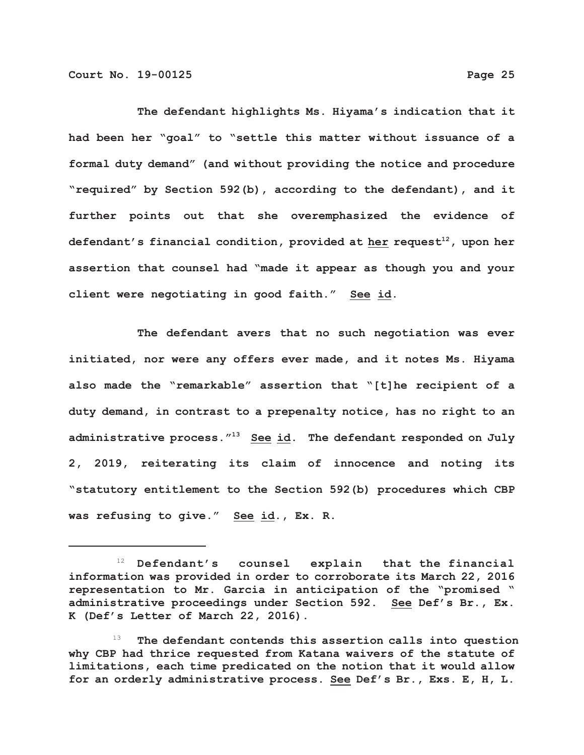**The defendant highlights Ms. Hiyama's indication that it had been her "goal" to "settle this matter without issuance of a formal duty demand" (and without providing the notice and procedure "required" by Section 592(b), according to the defendant), and it further points out that she overemphasized the evidence of** defendant's financial condition, provided at her request<sup>12</sup>, upon her **assertion that counsel had "made it appear as though you and your client were negotiating in good faith." See id.**

**The defendant avers that no such negotiation was ever initiated, nor were any offers ever made, and it notes Ms. Hiyama also made the "remarkable" assertion that "[t]he recipient of a duty demand, in contrast to a prepenalty notice, has no right to an administrative process."13 See id. The defendant responded on July 2, 2019, reiterating its claim of innocence and noting its "statutory entitlement to the Section 592(b) procedures which CBP was refusing to give." See id., Ex. R.**

 <sup>12</sup> **Defendant's counsel explain that the financial information was provided in order to corroborate its March 22, 2016 representation to Mr. Garcia in anticipation of the "promised " administrative proceedings under Section 592. See Def's Br., Ex. K (Def's Letter of March 22, 2016).**

 <sup>13</sup> **The defendant contends this assertion calls into question why CBP had thrice requested from Katana waivers of the statute of limitations, each time predicated on the notion that it would allow for an orderly administrative process. See Def's Br., Exs. E, H, L.**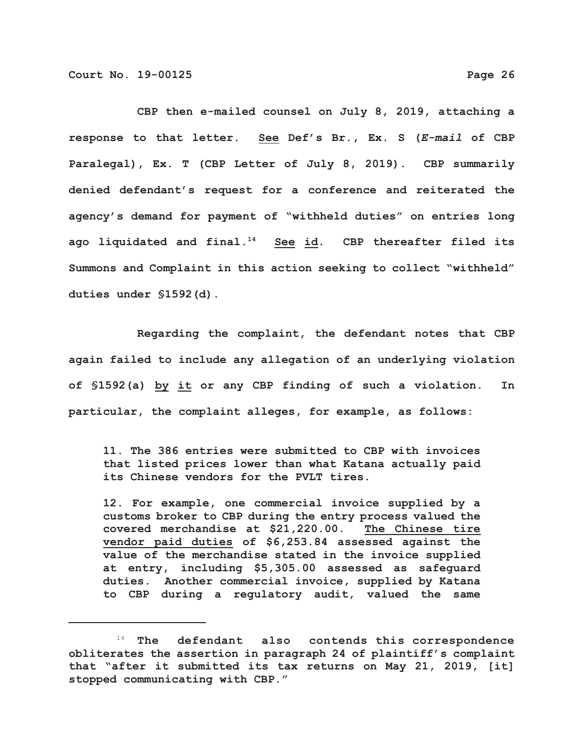**CBP then e-mailed counsel on July 8, 2019, attaching a**

**response to that letter. See Def's Br., Ex. S (***E-mail* **of CBP Paralegal), Ex. T (CBP Letter of July 8, 2019). CBP summarily denied defendant's request for a conference and reiterated the agency's demand for payment of "withheld duties" on entries long ago liquidated and final.14 See id. CBP thereafter filed its Summons and Complaint in this action seeking to collect "withheld" duties under §1592(d).**

**Regarding the complaint, the defendant notes that CBP again failed to include any allegation of an underlying violation of §1592(a) by it or any CBP finding of such a violation. In particular, the complaint alleges, for example, as follows:**

**11. The 386 entries were submitted to CBP with invoices that listed prices lower than what Katana actually paid its Chinese vendors for the PVLT tires.**

**12. For example, one commercial invoice supplied by a customs broker to CBP during the entry process valued the covered merchandise at \$21,220.00. The Chinese tire vendor paid duties of \$6,253.84 assessed against the value of the merchandise stated in the invoice supplied at entry, including \$5,305.00 assessed as safeguard duties. Another commercial invoice, supplied by Katana to CBP during a regulatory audit, valued the same**

 <sup>14</sup> **The defendant also contends this correspondence obliterates the assertion in paragraph 24 of plaintiff's complaint that "after it submitted its tax returns on May 21, 2019, [it] stopped communicating with CBP."**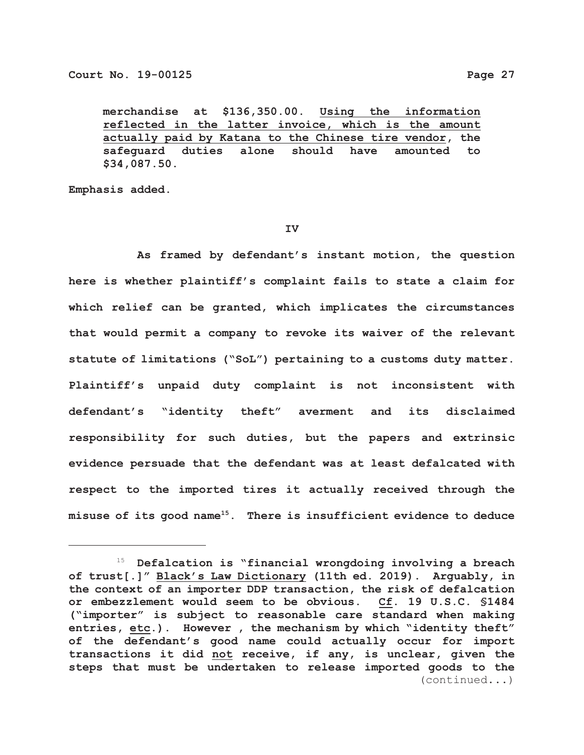**merchandise at \$136,350.00. Using the information reflected in the latter invoice, which is the amount actually paid by Katana to the Chinese tire vendor, the safeguard duties alone should have amounted to \$34,087.50.**

**Emphasis added.**

#### **IV**

**As framed by defendant's instant motion, the question here is whether plaintiff's complaint fails to state a claim for which relief can be granted, which implicates the circumstances that would permit a company to revoke its waiver of the relevant statute of limitations ("SoL") pertaining to a customs duty matter. Plaintiff's unpaid duty complaint is not inconsistent with defendant's "identity theft" averment and its disclaimed responsibility for such duties, but the papers and extrinsic evidence persuade that the defendant was at least defalcated with respect to the imported tires it actually received through the misuse of its good name15. There is insufficient evidence to deduce**

 <sup>15</sup> **Defalcation is "financial wrongdoing involving a breach of trust[.]" Black's Law Dictionary (11th ed. 2019). Arguably, in the context of an importer DDP transaction, the risk of defalcation or embezzlement would seem to be obvious. Cf. 19 U.S.C. §1484 ("importer" is subject to reasonable care standard when making entries, etc.). However , the mechanism by which "identity theft" of the defendant's good name could actually occur for import transactions it did not receive, if any, is unclear, given the steps that must be undertaken to release imported goods to the** (continued...)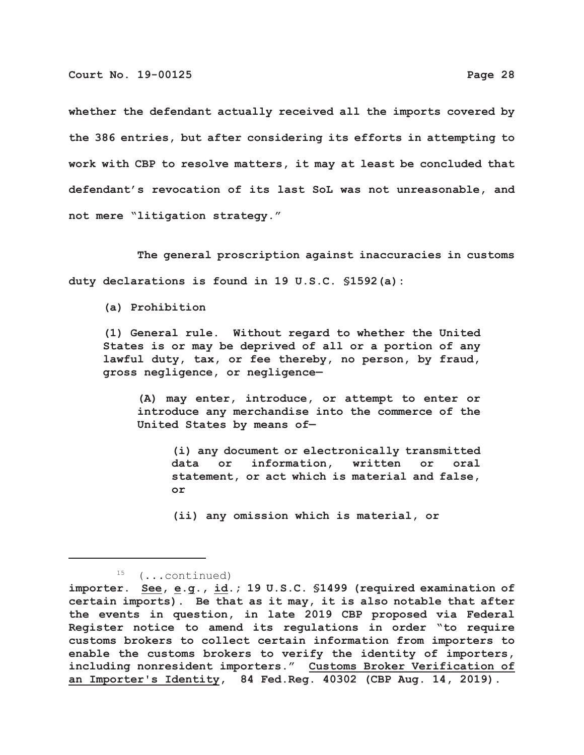**whether the defendant actually received all the imports covered by the 386 entries, but after considering its efforts in attempting to work with CBP to resolve matters, it may at least be concluded that defendant's revocation of its last SoL was not unreasonable, and not mere "litigation strategy."**

**The general proscription against inaccuracies in customs duty declarations is found in 19 U.S.C. §1592(a):**

**(a) Prohibition**

**(1) General rule. Without regard to whether the United States is or may be deprived of all or a portion of any lawful duty, tax, or fee thereby, no person, by fraud, gross negligence, or negligence—**

**(A) may enter, introduce, or attempt to enter or introduce any merchandise into the commerce of the United States by means of—**

**(i) any document or electronically transmitted data or information, written or oral statement, or act which is material and false, or**

**(ii) any omission which is material, or**

 <sup>15</sup> (...continued)

**importer. See, e.g., id.; 19 U.S.C. §1499 (required examination of certain imports). Be that as it may, it is also notable that after the events in question, in late 2019 CBP proposed via Federal Register notice to amend its regulations in order "to require customs brokers to collect certain information from importers to enable the customs brokers to verify the identity of importers, including nonresident importers." Customs Broker Verification of an Importer's Identity, 84 Fed.Reg. 40302 (CBP Aug. 14, 2019).**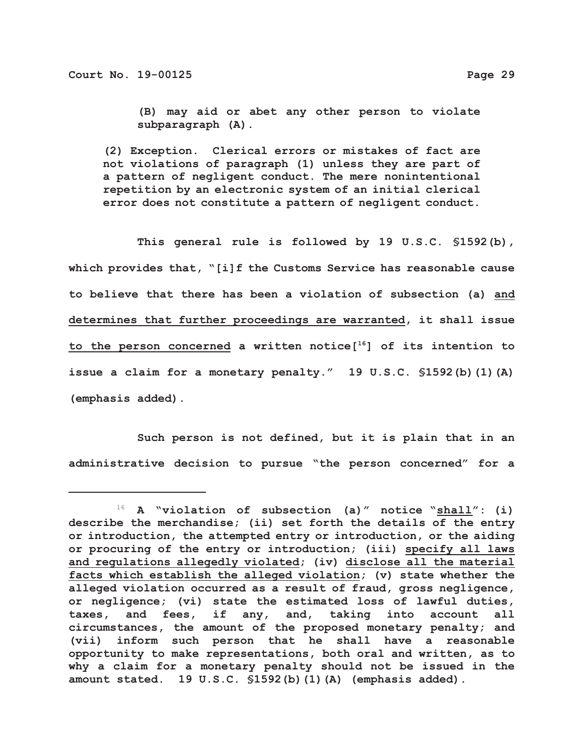**(B) may aid or abet any other person to violate subparagraph (A).**

**(2) Exception. Clerical errors or mistakes of fact are not violations of paragraph (1) unless they are part of a pattern of negligent conduct. The mere nonintentional repetition by an electronic system of an initial clerical error does not constitute a pattern of negligent conduct.**

**This general rule is followed by 19 U.S.C. §1592(b), which provides that, "[i]f the Customs Service has reasonable cause to believe that there has been a violation of subsection (a) and determines that further proceedings are warranted, it shall issue to the person concerned a written notice[16] of its intention to issue a claim for a monetary penalty." 19 U.S.C. §1592(b)(1)(A) (emphasis added).**

**Such person is not defined, but it is plain that in an administrative decision to pursue "the person concerned" for a**

 <sup>16</sup> **A "violation of subsection (a)" notice "shall": (i) describe the merchandise; (ii) set forth the details of the entry or introduction, the attempted entry or introduction, or the aiding or procuring of the entry or introduction; (iii) specify all laws and regulations allegedly violated; (iv) disclose all the material facts which establish the alleged violation; (v) state whether the alleged violation occurred as a result of fraud, gross negligence, or negligence; (vi) state the estimated loss of lawful duties, taxes, and fees, if any, and, taking into account all circumstances, the amount of the proposed monetary penalty; and (vii) inform such person that he shall have a reasonable opportunity to make representations, both oral and written, as to why a claim for a monetary penalty should not be issued in the amount stated. 19 U.S.C. §1592(b)(1)(A) (emphasis added).**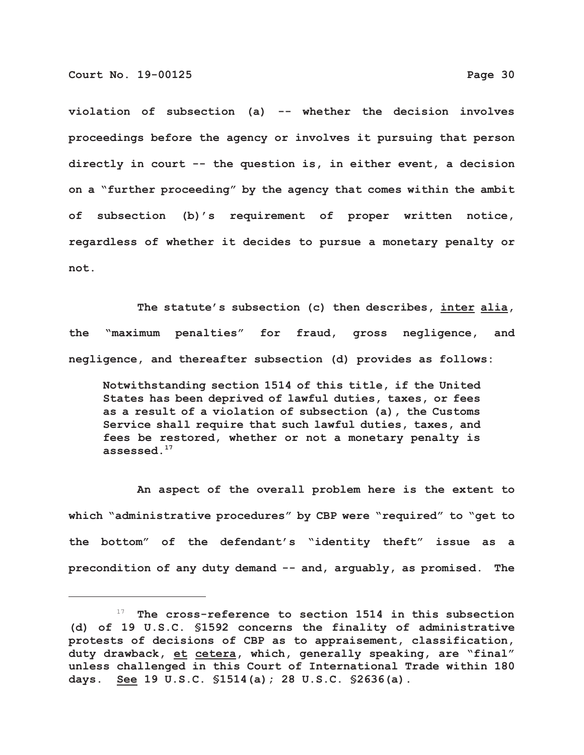**violation of subsection (a) -- whether the decision involves proceedings before the agency or involves it pursuing that person directly in court -- the question is, in either event, a decision on a "further proceeding" by the agency that comes within the ambit of subsection (b)'s requirement of proper written notice, regardless of whether it decides to pursue a monetary penalty or not.**

**The statute's subsection (c) then describes, inter alia, the "maximum penalties" for fraud, gross negligence, and negligence, and thereafter subsection (d) provides as follows:**

**Notwithstanding section 1514 of this title, if the United States has been deprived of lawful duties, taxes, or fees as a result of a violation of subsection (a), the Customs Service shall require that such lawful duties, taxes, and fees be restored, whether or not a monetary penalty is assessed.17**

**An aspect of the overall problem here is the extent to which "administrative procedures" by CBP were "required" to "get to the bottom" of the defendant's "identity theft" issue as a precondition of any duty demand -- and, arguably, as promised. The**

 <sup>17</sup> **The cross-reference to section 1514 in this subsection (d) of 19 U.S.C. §1592 concerns the finality of administrative protests of decisions of CBP as to appraisement, classification, duty drawback, et cetera, which, generally speaking, are "final" unless challenged in this Court of International Trade within 180 days. See 19 U.S.C. §1514(a); 28 U.S.C. §2636(a).**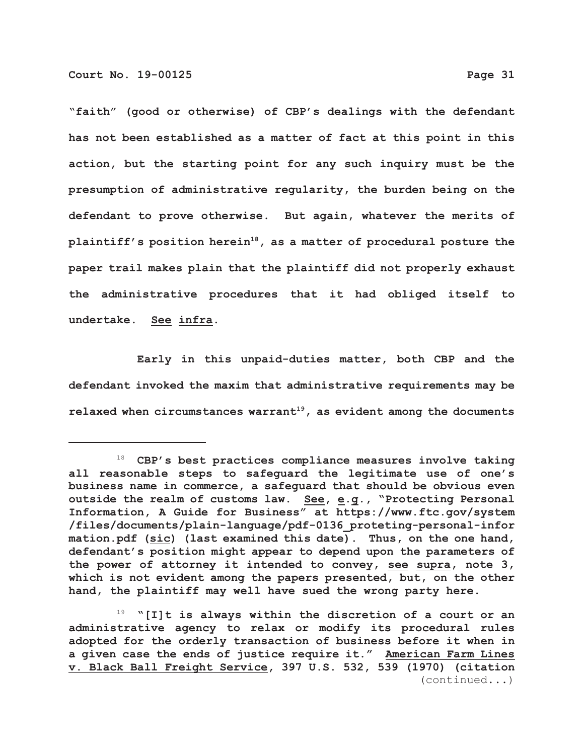**"faith" (good or otherwise) of CBP's dealings with the defendant has not been established as a matter of fact at this point in this action, but the starting point for any such inquiry must be the presumption of administrative regularity, the burden being on the defendant to prove otherwise. But again, whatever the merits of** plaintiff's position herein<sup>18</sup>, as a matter of procedural posture the **paper trail makes plain that the plaintiff did not properly exhaust the administrative procedures that it had obliged itself to undertake. See infra.**

**Early in this unpaid-duties matter, both CBP and the defendant invoked the maxim that administrative requirements may be** relaxed when circumstances warrant<sup>19</sup>, as evident among the documents

 <sup>18</sup> **CBP's best practices compliance measures involve taking all reasonable steps to safeguard the legitimate use of one's business name in commerce, a safeguard that should be obvious even outside the realm of customs law. See, e.g., "Protecting Personal Information, A Guide for Business" at https://www.ftc.gov/system /files/documents/plain-language/pdf-0136\_proteting-personal-infor mation.pdf (sic) (last examined this date). Thus, on the one hand, defendant's position might appear to depend upon the parameters of the power of attorney it intended to convey, see supra, note 3, which is not evident among the papers presented, but, on the other hand, the plaintiff may well have sued the wrong party here.**

 <sup>19</sup> **"[I]t is always within the discretion of a court or an administrative agency to relax or modify its procedural rules adopted for the orderly transaction of business before it when in a given case the ends of justice require it." American Farm Lines v. Black Ball Freight Service, 397 U.S. 532, 539 (1970) (citation** (continued...)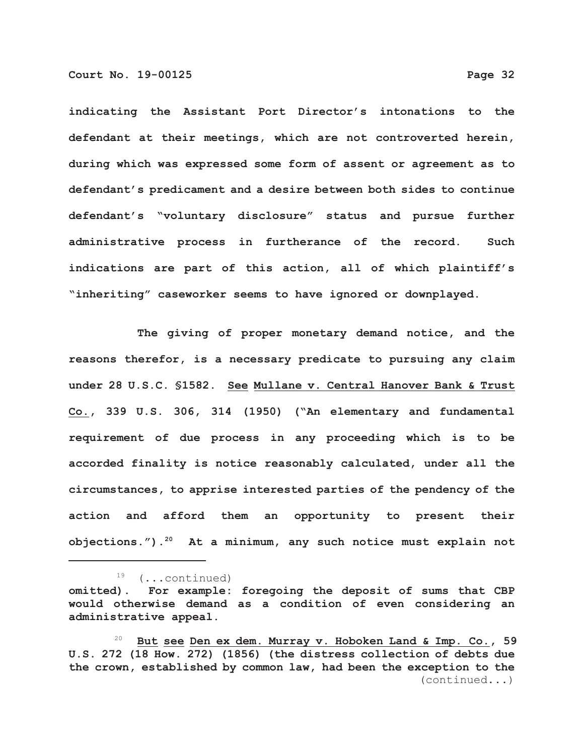**indicating the Assistant Port Director's intonations to the defendant at their meetings, which are not controverted herein, during which was expressed some form of assent or agreement as to defendant's predicament and a desire between both sides to continue defendant's "voluntary disclosure" status and pursue further administrative process in furtherance of the record. Such indications are part of this action, all of which plaintiff's "inheriting" caseworker seems to have ignored or downplayed.**

**The giving of proper monetary demand notice, and the reasons therefor, is a necessary predicate to pursuing any claim under 28 U.S.C. §1582. See Mullane v. Central Hanover Bank & Trust Co., 339 U.S. 306, 314 (1950) ("An elementary and fundamental requirement of due process in any proceeding which is to be accorded finality is notice reasonably calculated, under all the circumstances, to apprise interested parties of the pendency of the action and afford them an opportunity to present their objections.").20 At a minimum, any such notice must explain not**

19 (...continued)

**omitted). For example: foregoing the deposit of sums that CBP would otherwise demand as a condition of even considering an administrative appeal.**

 <sup>20</sup> **But see Den ex dem. Murray v. Hoboken Land & Imp. Co., 59 U.S. 272 (18 How. 272) (1856) (the distress collection of debts due the crown, established by common law, had been the exception to the** (continued...)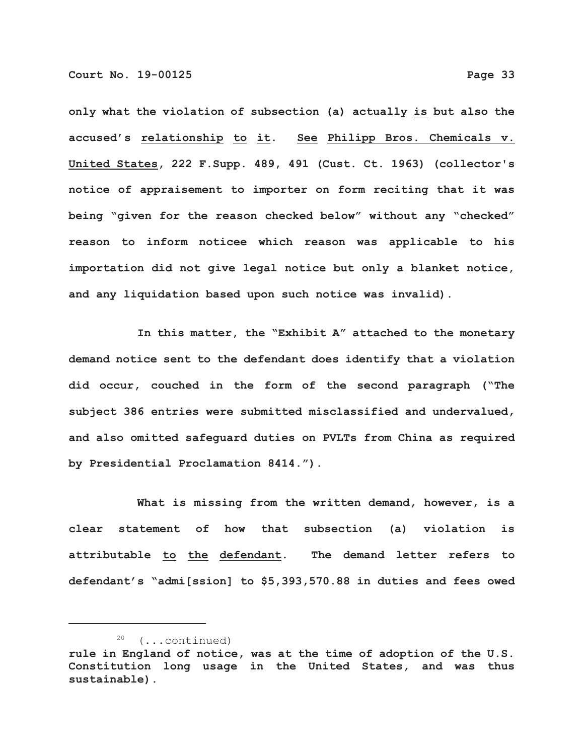**only what the violation of subsection (a) actually is but also the accused's relationship to it. See Philipp Bros. Chemicals v. United States, 222 F.Supp. 489, 491 (Cust. Ct. 1963) (collector's notice of appraisement to importer on form reciting that it was being "given for the reason checked below" without any "checked" reason to inform noticee which reason was applicable to his importation did not give legal notice but only a blanket notice, and any liquidation based upon such notice was invalid).**

**In this matter, the "Exhibit A" attached to the monetary demand notice sent to the defendant does identify that a violation did occur, couched in the form of the second paragraph ("The subject 386 entries were submitted misclassified and undervalued, and also omitted safeguard duties on PVLTs from China as required by Presidential Proclamation 8414.").**

**What is missing from the written demand, however, is a clear statement of how that subsection (a) violation is attributable to the defendant. The demand letter refers to defendant's "admi[ssion] to \$5,393,570.88 in duties and fees owed**

 <sup>20</sup> (...continued) **rule in England of notice, was at the time of adoption of the U.S. Constitution long usage in the United States, and was thus sustainable).**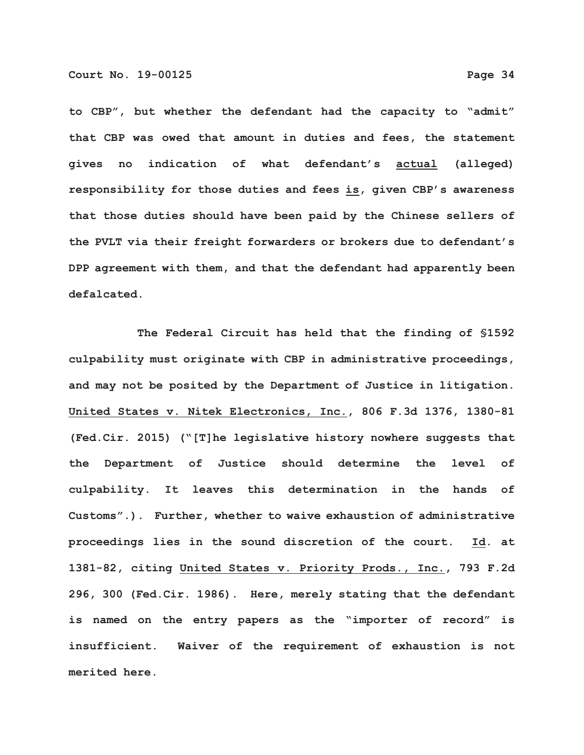**to CBP", but whether the defendant had the capacity to "admit" that CBP was owed that amount in duties and fees, the statement gives no indication of what defendant's actual (alleged) responsibility for those duties and fees is, given CBP's awareness that those duties should have been paid by the Chinese sellers of the PVLT via their freight forwarders or brokers due to defendant's DPP agreement with them, and that the defendant had apparently been defalcated.**

**The Federal Circuit has held that the finding of §1592 culpability must originate with CBP in administrative proceedings, and may not be posited by the Department of Justice in litigation. United States v. Nitek Electronics, Inc., 806 F.3d 1376, 1380-81 (Fed.Cir. 2015) ("[T]he legislative history nowhere suggests that the Department of Justice should determine the level of culpability. It leaves this determination in the hands of Customs".). Further, whether to waive exhaustion of administrative proceedings lies in the sound discretion of the court. Id. at 1381-82, citing United States v. Priority Prods., Inc., 793 F.2d 296, 300 (Fed.Cir. 1986). Here, merely stating that the defendant is named on the entry papers as the "importer of record" is insufficient. Waiver of the requirement of exhaustion is not merited here.**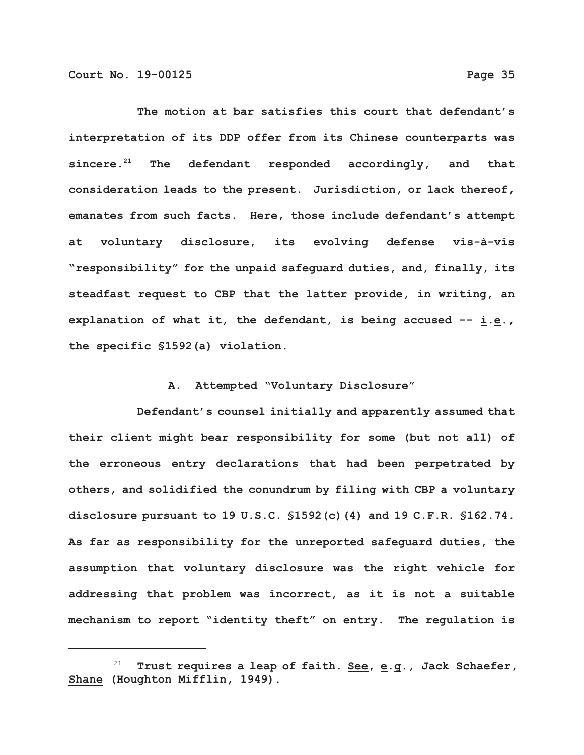**The motion at bar satisfies this court that defendant's interpretation of its DDP offer from its Chinese counterparts was** sincere.<sup>21</sup> The defendant responded accordingly, and that **consideration leads to the present. Jurisdiction, or lack thereof, emanates from such facts. Here, those include defendant's attempt at voluntary disclosure, its evolving defense vis-à-vis "responsibility" for the unpaid safeguard duties, and, finally, its steadfast request to CBP that the latter provide, in writing, an explanation of what it, the defendant, is being accused -- i.e., the specific §1592(a) violation.**

# **A. Attempted "Voluntary Disclosure"**

**Defendant's counsel initially and apparently assumed that their client might bear responsibility for some (but not all) of the erroneous entry declarations that had been perpetrated by others, and solidified the conundrum by filing with CBP a voluntary disclosure pursuant to 19 U.S.C. §1592(c)(4) and 19 C.F.R. §162.74. As far as responsibility for the unreported safeguard duties, the assumption that voluntary disclosure was the right vehicle for addressing that problem was incorrect, as it is not a suitable mechanism to report "identity theft" on entry. The regulation is**

Trust requires a leap of faith. See, e.g., Jack Schaefer, **Shane (Houghton Mifflin, 1949).**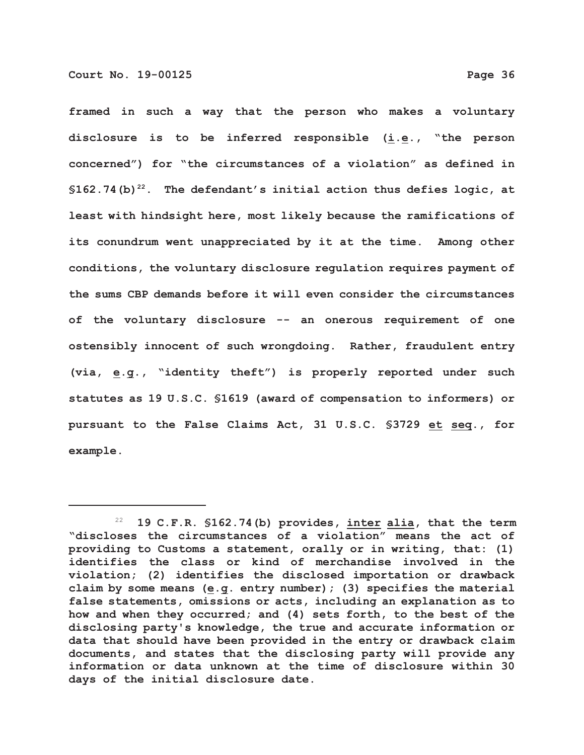**framed in such a way that the person who makes a voluntary disclosure is to be inferred responsible (i.e., "the person concerned") for "the circumstances of a violation" as defined in**  $$162.74$  (b)<sup>22</sup>. The defendant's initial action thus defies logic, at **least with hindsight here, most likely because the ramifications of its conundrum went unappreciated by it at the time. Among other conditions, the voluntary disclosure regulation requires payment of the sums CBP demands before it will even consider the circumstances of the voluntary disclosure -- an onerous requirement of one ostensibly innocent of such wrongdoing. Rather, fraudulent entry (via, e.g., "identity theft") is properly reported under such statutes as 19 U.S.C. §1619 (award of compensation to informers) or pursuant to the False Claims Act, 31 U.S.C. §3729 et seq., for example.**

 <sup>22</sup> **19 C.F.R. §162.74(b) provides, inter alia, that the term "discloses the circumstances of a violation" means the act of providing to Customs a statement, orally or in writing, that: (1) identifies the class or kind of merchandise involved in the violation; (2) identifies the disclosed importation or drawback claim by some means (e.g. entry number); (3) specifies the material false statements, omissions or acts, including an explanation as to how and when they occurred; and (4) sets forth, to the best of the disclosing party's knowledge, the true and accurate information or data that should have been provided in the entry or drawback claim documents, and states that the disclosing party will provide any information or data unknown at the time of disclosure within 30 days of the initial disclosure date.**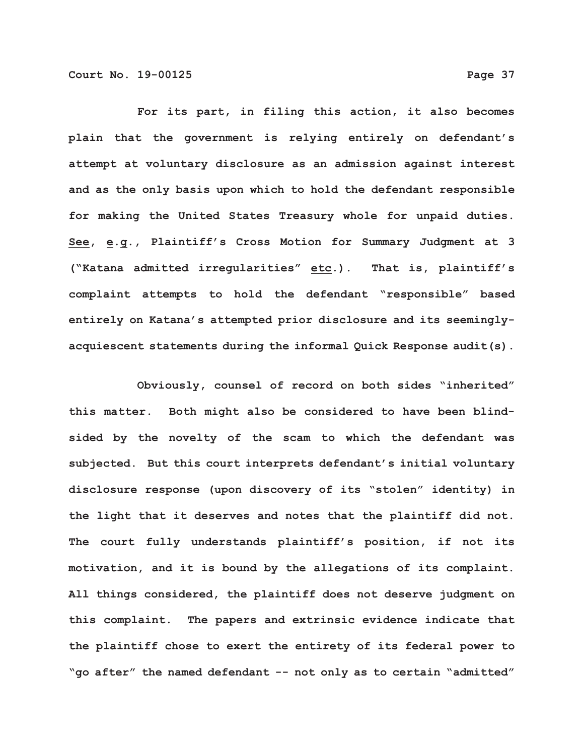**For its part, in filing this action, it also becomes plain that the government is relying entirely on defendant's attempt at voluntary disclosure as an admission against interest and as the only basis upon which to hold the defendant responsible for making the United States Treasury whole for unpaid duties. See, e.g., Plaintiff's Cross Motion for Summary Judgment at 3 ("Katana admitted irregularities" etc.). That is, plaintiff's complaint attempts to hold the defendant "responsible" based entirely on Katana's attempted prior disclosure and its seeminglyacquiescent statements during the informal Quick Response audit(s).**

**Obviously, counsel of record on both sides "inherited" this matter. Both might also be considered to have been blindsided by the novelty of the scam to which the defendant was subjected. But this court interprets defendant's initial voluntary disclosure response (upon discovery of its "stolen" identity) in the light that it deserves and notes that the plaintiff did not. The court fully understands plaintiff's position, if not its motivation, and it is bound by the allegations of its complaint. All things considered, the plaintiff does not deserve judgment on this complaint. The papers and extrinsic evidence indicate that the plaintiff chose to exert the entirety of its federal power to "go after" the named defendant -- not only as to certain "admitted"**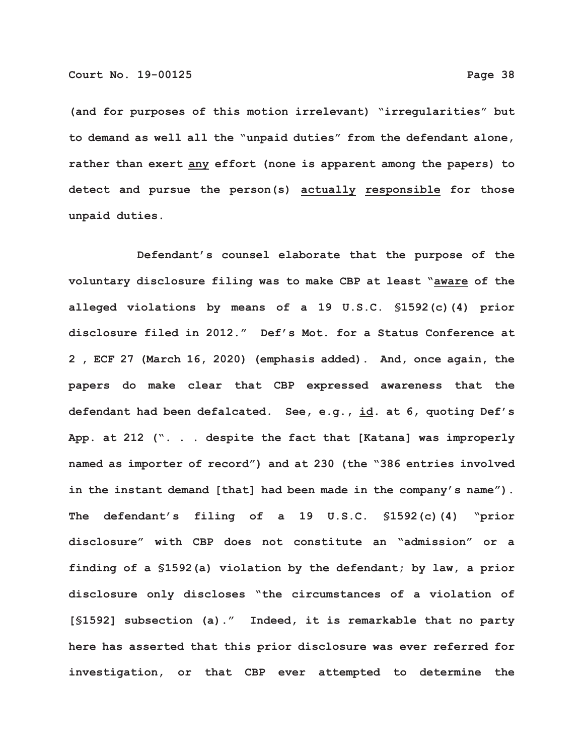**(and for purposes of this motion irrelevant) "irregularities" but to demand as well all the "unpaid duties" from the defendant alone, rather than exert any effort (none is apparent among the papers) to detect and pursue the person(s) actually responsible for those unpaid duties.** 

**Defendant's counsel elaborate that the purpose of the voluntary disclosure filing was to make CBP at least "aware of the alleged violations by means of a 19 U.S.C. §1592(c)(4) prior disclosure filed in 2012." Def's Mot. for a Status Conference at 2 , ECF 27 (March 16, 2020) (emphasis added). And, once again, the papers do make clear that CBP expressed awareness that the defendant had been defalcated. See, e.g., id***.* **at 6, quoting Def's App. at 212 (". . . despite the fact that [Katana] was improperly named as importer of record") and at 230 (the "386 entries involved in the instant demand [that] had been made in the company's name"). The defendant's filing of a 19 U.S.C. §1592(c)(4) "prior disclosure" with CBP does not constitute an "admission" or a finding of a §1592(a) violation by the defendant; by law, a prior disclosure only discloses "the circumstances of a violation of [§1592] subsection (a)." Indeed, it is remarkable that no party here has asserted that this prior disclosure was ever referred for investigation, or that CBP ever attempted to determine the**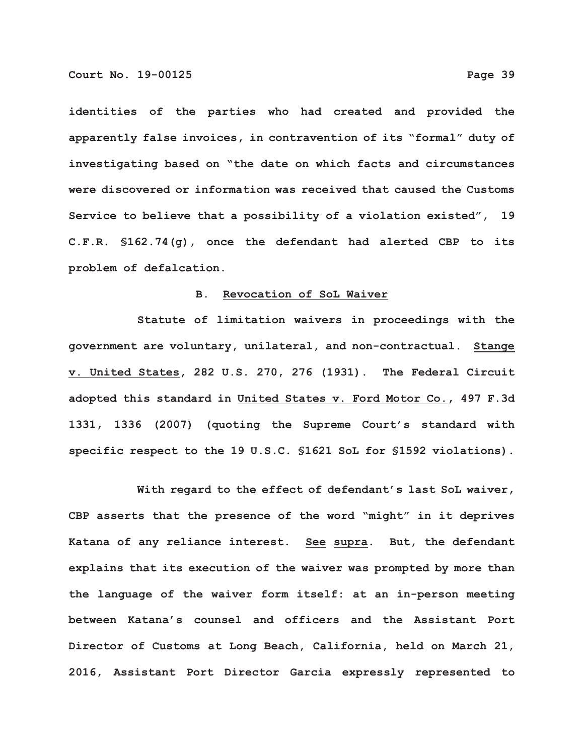**identities of the parties who had created and provided the apparently false invoices, in contravention of its "formal" duty of investigating based on "the date on which facts and circumstances were discovered or information was received that caused the Customs Service to believe that a possibility of a violation existed", 19 C.F.R. §162.74(g), once the defendant had alerted CBP to its problem of defalcation.**

## **B. Revocation of SoL Waiver**

**Statute of limitation waivers in proceedings with the government are voluntary, unilateral, and non-contractual. Stange v. United States, 282 U.S. 270, 276 (1931). The Federal Circuit adopted this standard in United States v. Ford Motor Co., 497 F.3d 1331, 1336 (2007) (quoting the Supreme Court's standard with specific respect to the 19 U.S.C. §1621 SoL for §1592 violations).**

**With regard to the effect of defendant's last SoL waiver, CBP asserts that the presence of the word "might" in it deprives Katana of any reliance interest. See supra. But, the defendant explains that its execution of the waiver was prompted by more than the language of the waiver form itself: at an in-person meeting between Katana's counsel and officers and the Assistant Port Director of Customs at Long Beach, California, held on March 21, 2016, Assistant Port Director Garcia expressly represented to**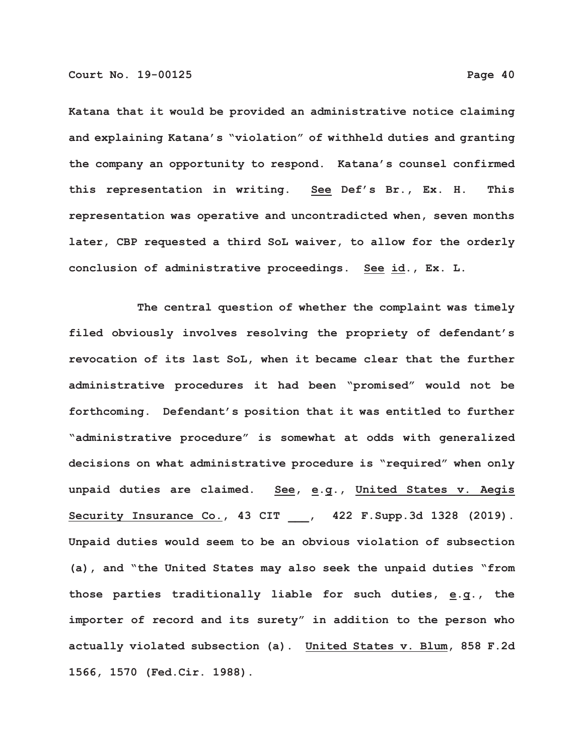**Katana that it would be provided an administrative notice claiming and explaining Katana's "violation" of withheld duties and granting the company an opportunity to respond. Katana's counsel confirmed this representation in writing. See Def's Br., Ex. H. This representation was operative and uncontradicted when, seven months later, CBP requested a third SoL waiver, to allow for the orderly conclusion of administrative proceedings. See id., Ex. L.**

**The central question of whether the complaint was timely filed obviously involves resolving the propriety of defendant's revocation of its last SoL, when it became clear that the further administrative procedures it had been "promised" would not be forthcoming. Defendant's position that it was entitled to further "administrative procedure" is somewhat at odds with generalized decisions on what administrative procedure is "required" when only unpaid duties are claimed. See, e.g., United States v. Aegis Security Insurance Co., 43 CIT \_\_\_, 422 F.Supp.3d 1328 (2019). Unpaid duties would seem to be an obvious violation of subsection (a), and "the United States may also seek the unpaid duties "from those parties traditionally liable for such duties, e.g., the importer of record and its surety" in addition to the person who actually violated subsection (a). United States v. Blum, 858 F.2d 1566, 1570 (Fed.Cir. 1988).**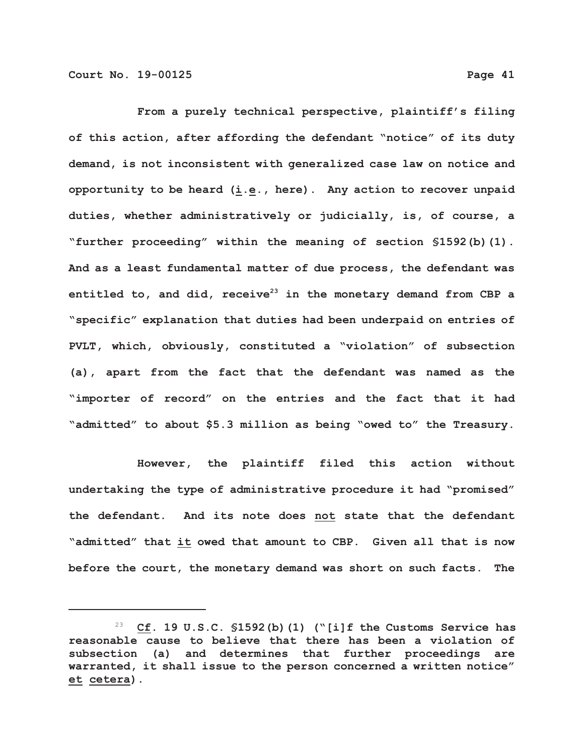**From a purely technical perspective, plaintiff's filing of this action, after affording the defendant "notice" of its duty demand, is not inconsistent with generalized case law on notice and opportunity to be heard (i.e., here). Any action to recover unpaid duties, whether administratively or judicially, is, of course, a "further proceeding" within the meaning of section §1592(b)(1). And as a least fundamental matter of due process, the defendant was** entitled to, and did, receive<sup>23</sup> in the monetary demand from CBP a **"specific" explanation that duties had been underpaid on entries of PVLT, which, obviously, constituted a "violation" of subsection (a), apart from the fact that the defendant was named as the "importer of record" on the entries and the fact that it had "admitted" to about \$5.3 million as being "owed to" the Treasury.** 

**However, the plaintiff filed this action without undertaking the type of administrative procedure it had "promised" the defendant. And its note does not state that the defendant "admitted" that it owed that amount to CBP. Given all that is now before the court, the monetary demand was short on such facts. The**

 <sup>23</sup> **Cf. 19 U.S.C. §1592(b)(1) ("[i]f the Customs Service has reasonable cause to believe that there has been a violation of subsection (a) and determines that further proceedings are warranted, it shall issue to the person concerned a written notice" et cetera).**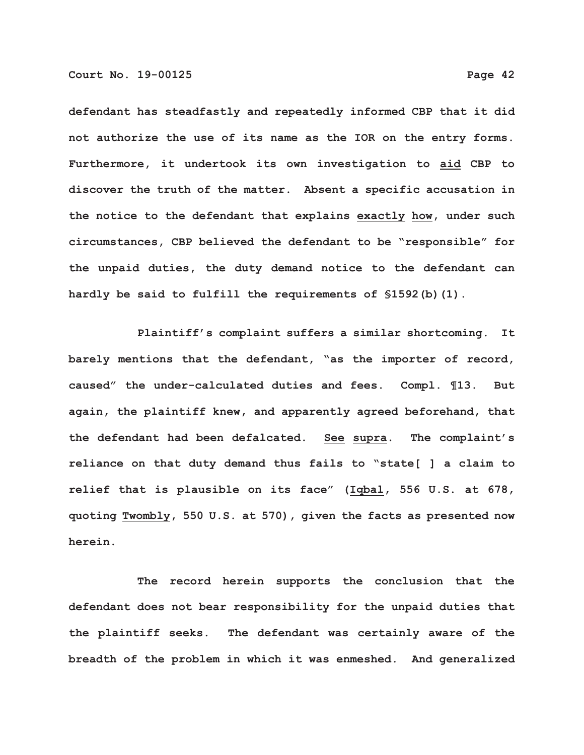**defendant has steadfastly and repeatedly informed CBP that it did not authorize the use of its name as the IOR on the entry forms. Furthermore, it undertook its own investigation to aid CBP to discover the truth of the matter. Absent a specific accusation in the notice to the defendant that explains exactly how, under such**

**circumstances, CBP believed the defendant to be "responsible" for the unpaid duties, the duty demand notice to the defendant can hardly be said to fulfill the requirements of §1592(b)(1).**

**Plaintiff's complaint suffers a similar shortcoming. It barely mentions that the defendant, "as the importer of record, caused" the under-calculated duties and fees. Compl. ¶13. But again, the plaintiff knew, and apparently agreed beforehand, that the defendant had been defalcated. See supra. The complaint's reliance on that duty demand thus fails to "state[ ] a claim to relief that is plausible on its face" (Iqbal, 556 U.S. at 678, quoting Twombly, 550 U.S. at 570), given the facts as presented now herein.**

**The record herein supports the conclusion that the defendant does not bear responsibility for the unpaid duties that the plaintiff seeks. The defendant was certainly aware of the breadth of the problem in which it was enmeshed. And generalized**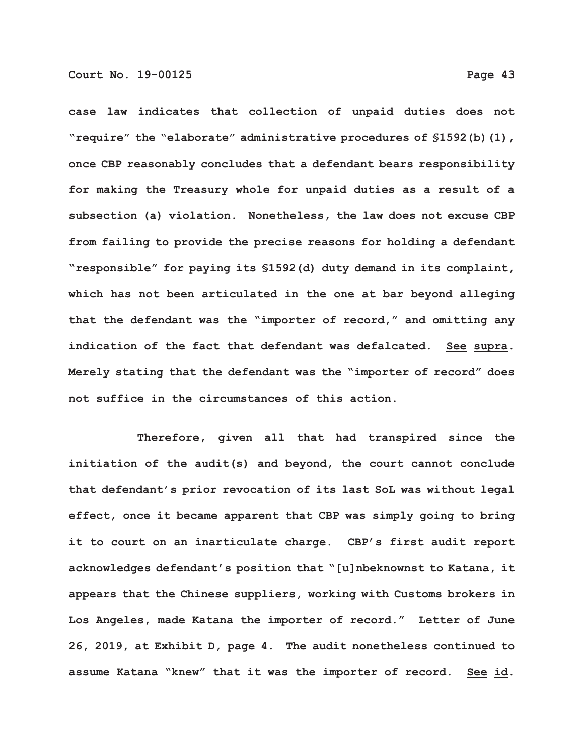**"require" the "elaborate" administrative procedures of §1592(b)(1), once CBP reasonably concludes that a defendant bears responsibility for making the Treasury whole for unpaid duties as a result of a subsection (a) violation. Nonetheless, the law does not excuse CBP from failing to provide the precise reasons for holding a defendant "responsible" for paying its §1592(d) duty demand in its complaint, which has not been articulated in the one at bar beyond alleging that the defendant was the "importer of record," and omitting any indication of the fact that defendant was defalcated. See supra. Merely stating that the defendant was the "importer of record" does not suffice in the circumstances of this action.**

**Therefore, given all that had transpired since the initiation of the audit(s) and beyond, the court cannot conclude that defendant's prior revocation of its last SoL was without legal effect, once it became apparent that CBP was simply going to bring it to court on an inarticulate charge. CBP's first audit report acknowledges defendant's position that "[u]nbeknownst to Katana, it appears that the Chinese suppliers, working with Customs brokers in Los Angeles, made Katana the importer of record." Letter of June 26, 2019, at Exhibit D, page 4. The audit nonetheless continued to assume Katana "knew" that it was the importer of record. See id.**